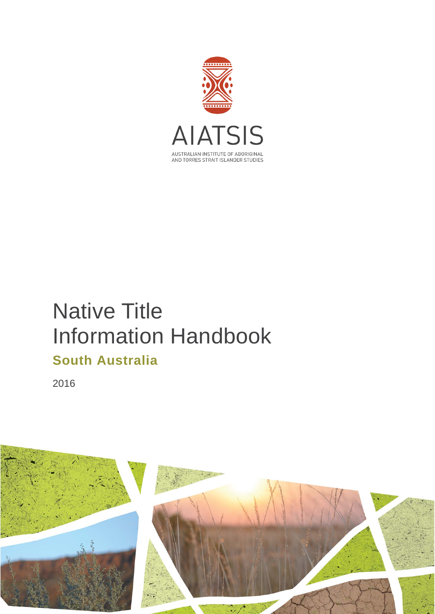

# Native Title Information Handbook **South Australia**

2016

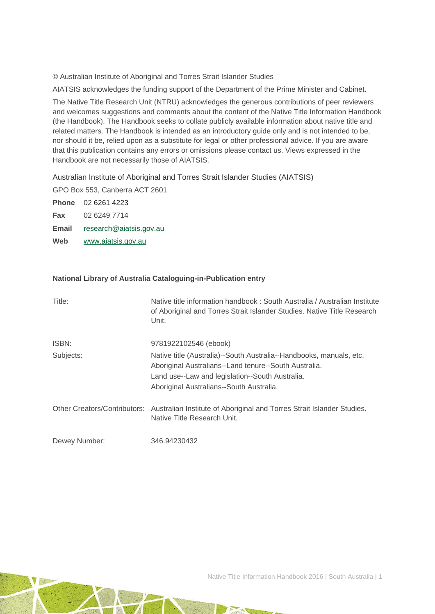© Australian Institute of Aboriginal and Torres Strait Islander Studies

AIATSIS acknowledges the funding support of the Department of the Prime Minister and Cabinet.

The Native Title Research Unit (NTRU) acknowledges the generous contributions of peer reviewers and welcomes suggestions and comments about the content of the Native Title Information Handbook (the Handbook). The Handbook seeks to collate publicly available information about native title and related matters. The Handbook is intended as an introductory guide only and is not intended to be, nor should it be, relied upon as a substitute for legal or other professional advice. If you are aware that this publication contains any errors or omissions please contact us. Views expressed in the Handbook are not necessarily those of AIATSIS.

Australian Institute of Aboriginal and Torres Strait Islander Studies (AIATSIS)

GPO Box 553, Canberra ACT 2601

**Phone** 02 6261 4223 **Fax** 02 6249 7714 **Email** [research@aiatsis.gov.au](mailto:research@aiatsis.gov.au)

**Web** [www.aiatsis.gov.au](http://www.aiatsis.gov.au/) 

#### **National Library of Australia Cataloguing-in-Publication entry**

| Title:        | Native title information handbook: South Australia / Australian Institute<br>of Aboriginal and Torres Strait Islander Studies. Native Title Research<br>Unit.                                                               |
|---------------|-----------------------------------------------------------------------------------------------------------------------------------------------------------------------------------------------------------------------------|
| ISBN:         | 9781922102546 (ebook)                                                                                                                                                                                                       |
| Subjects:     | Native title (Australia)--South Australia--Handbooks, manuals, etc.<br>Aboriginal Australians--Land tenure--South Australia.<br>Land use--Law and legislation--South Australia.<br>Aboriginal Australians--South Australia. |
|               | Other Creators/Contributors: Australian Institute of Aboriginal and Torres Strait Islander Studies.<br>Native Title Research Unit.                                                                                          |
| Dewey Number: | 346.94230432                                                                                                                                                                                                                |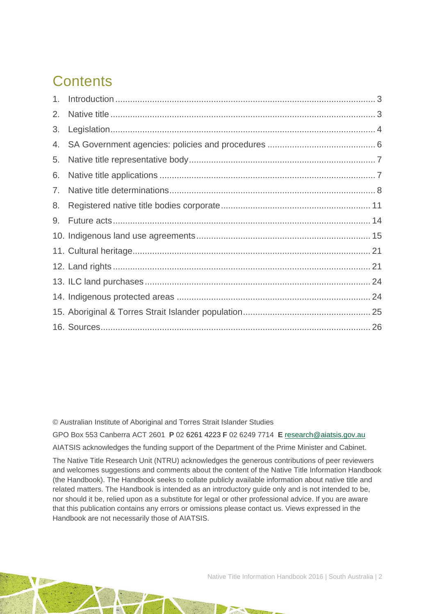# **Contents**

| 2. |  |
|----|--|
| 3. |  |
| 4. |  |
| 5. |  |
| 6. |  |
| 7. |  |
| 8. |  |
| 9. |  |
|    |  |
|    |  |
|    |  |
|    |  |
|    |  |
|    |  |
|    |  |

© Australian Institute of Aboriginal and Torres Strait Islander Studies

GPO Box 553 Canberra ACT 2601 **P** 02 6261 4223 **F** 02 6249 7714 **E** [research@aiatsis.gov.au](mailto:research@aiatsis.gov.au) AIATSIS acknowledges the funding support of the Department of the Prime Minister and Cabinet.

The Native Title Research Unit (NTRU) acknowledges the generous contributions of peer reviewers and welcomes suggestions and comments about the content of the Native Title Information Handbook (the Handbook). The Handbook seeks to collate publicly available information about native title and related matters. The Handbook is intended as an introductory guide only and is not intended to be, nor should it be, relied upon as a substitute for legal or other professional advice. If you are aware that this publication contains any errors or omissions please contact us. Views expressed in the Handbook are not necessarily those of AIATSIS.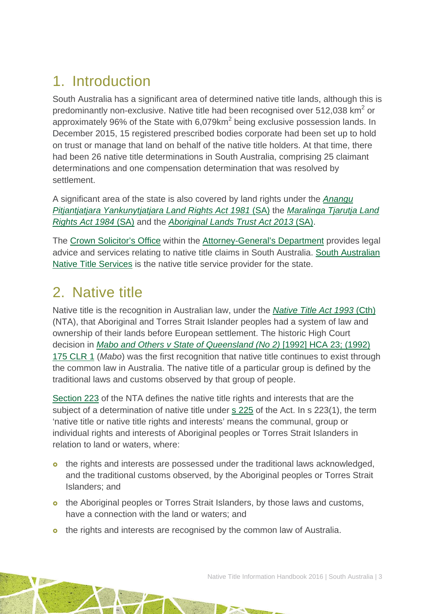# <span id="page-3-0"></span>1. Introduction

South Australia has a significant area of determined native title lands, although this is predominantly non-exclusive. Native title had been recognised over 512,038 km<sup>2</sup> or approximately 96% of the State with  $6.079 \text{km}^2$  being exclusive possession lands. In December 2015, 15 registered prescribed bodies corporate had been set up to hold on trust or manage that land on behalf of the native title holders. At that time, there had been 26 native title determinations in South Australia, comprising 25 claimant determinations and one compensation determination that was resolved by settlement.

A significant area of the state is also covered by land rights under the *[Anangu](http://www.austlii.edu.au/au/legis/sa/consol_act/apylra1981489/)  [Pitjantjatjara Yankunytjatjara Land Rights Act 1981](http://www.austlii.edu.au/au/legis/sa/consol_act/apylra1981489/)* (SA) the *[Maralinga Tjarutja Land](http://www.austlii.edu.au/au/legis/sa/consol_act/mtlra1984283/)  [Rights Act 1984](http://www.austlii.edu.au/au/legis/sa/consol_act/mtlra1984283/)* (SA) and the *[Aboriginal Lands Trust Act 2013](http://www.austlii.edu.au/au/legis/sa/consol_act/alta2013237/)* (SA).

The [Crown Solicitor's Office](http://www.agd.sa.gov.au/about-agd/departments-and-divisions/legal-services/crown-solicitors-office/about-crown-solicitors) within the [Attorney-General's Department](http://www.agd.sa.gov.au/) provides legal advice and services relating to native title claims in South Australia. [South Australian](http://www.nativetitlesa.org/)  [Native Title Services](http://www.nativetitlesa.org/) is the native title service provider for the state.

## <span id="page-3-1"></span>2. Native title

Native title is the recognition in Australian law, under the *[Native Title Act 1993](http://www.austlii.edu.au/au/legis/cth/consol_act/nta1993147/)* (Cth) (NTA), that Aboriginal and Torres Strait Islander peoples had a system of law and ownership of their lands before European settlement. The historic High Court decision in *[Mabo and Others v State of Queensland \(No 2\)](http://www.austlii.edu.au/au/cases/cth/HCA/1992/23.html)* [1992] HCA 23; (1992) [175 CLR 1](http://www.austlii.edu.au/au/cases/cth/HCA/1992/23.html) (*Mabo*) was the first recognition that native title continues to exist through the common law in Australia. The native title of a particular group is defined by the traditional laws and customs observed by that group of people.

[Section 223](http://www.austlii.edu.au/au/legis/cth/consol_act/nta1993147/s223.html) of the NTA defines the native title rights and interests that are the subject of a determination of native title under [s 225](http://www.austlii.edu.au/au/legis/cth/consol_act/nta1993147/s225.html) of the Act. In s 223(1), the term 'native title or native title rights and interests' means the communal, group or individual rights and interests of Aboriginal peoples or Torres Strait Islanders in relation to land or waters, where:

- o the rights and interests are possessed under the traditional laws acknowledged, and the traditional customs observed, by the Aboriginal peoples or Torres Strait Islanders; and
- o the Aboriginal peoples or Torres Strait Islanders, by those laws and customs, have a connection with the land or waters; and
- o the rights and interests are recognised by the common law of Australia.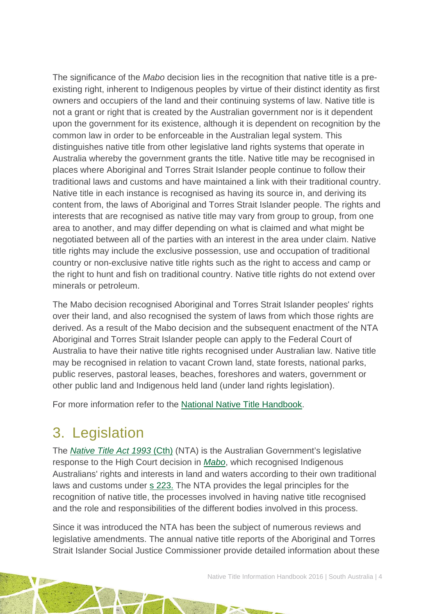The significance of the *Mabo* decision lies in the recognition that native title is a preexisting right, inherent to Indigenous peoples by virtue of their distinct identity as first owners and occupiers of the land and their continuing systems of law. Native title is not a grant or right that is created by the Australian government nor is it dependent upon the government for its existence, although it is dependent on recognition by the common law in order to be enforceable in the Australian legal system. This distinguishes native title from other legislative land rights systems that operate in Australia whereby the government grants the title. Native title may be recognised in places where Aboriginal and Torres Strait Islander people continue to follow their traditional laws and customs and have maintained a link with their traditional country. Native title in each instance is recognised as having its source in, and deriving its content from, the laws of Aboriginal and Torres Strait Islander people. The rights and interests that are recognised as native title may vary from group to group, from one area to another, and may differ depending on what is claimed and what might be negotiated between all of the parties with an interest in the area under claim. Native title rights may include the exclusive possession, use and occupation of traditional country or non-exclusive native title rights such as the right to access and camp or the right to hunt and fish on traditional country. Native title rights do not extend over minerals or petroleum.

The Mabo decision recognised Aboriginal and Torres Strait Islander peoples' rights over their land, and also recognised the system of laws from which those rights are derived. As a result of the Mabo decision and the subsequent enactment of the NTA Aboriginal and Torres Strait Islander people can apply to the Federal Court of Australia to have their native title rights recognised under Australian law. Native title may be recognised in relation to vacant Crown land, state forests, national parks, public reserves, pastoral leases, beaches, foreshores and waters, government or other public land and Indigenous held land (under land rights legislation).

For more information refer to the [National Native Title Handbook.](http://aiatsis.gov.au/publications/products/native-title-information-handbooks)

## <span id="page-4-0"></span>3. Legislation

The *[Native Title Act 1993](http://www.austlii.edu.au/au/legis/cth/consol_act/nta1993147/)* (Cth) (NTA) is the Australian Government's legislative response to the High Court decision in *[Mabo](http://www.austlii.edu.au/au/cases/cth/HCA/1992/23.html)*, which recognised Indigenous Australians' rights and interests in land and waters according to their own traditional laws and customs under [s 223.](http://www.austlii.edu.au/au/legis/cth/consol_act/nta1993147/s223.html) The NTA provides the legal principles for the recognition of native title, the processes involved in having native title recognised and the role and responsibilities of the different bodies involved in this process.

Since it was introduced the NTA has been the subject of numerous reviews and legislative amendments. The annual native title reports of the Aboriginal and Torres Strait Islander Social Justice Commissioner provide detailed information about these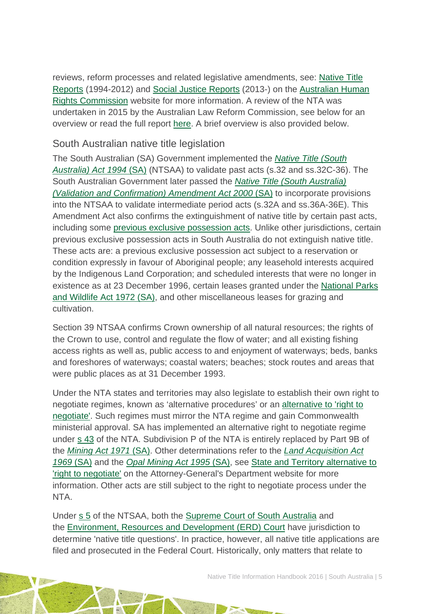reviews, reform processes and related legislative amendments, see: [Native Title](https://www.humanrights.gov.au/our-work/aboriginal-and-torres-strait-islander-social-justice/publications/native-title-reports)  [Reports](https://www.humanrights.gov.au/our-work/aboriginal-and-torres-strait-islander-social-justice/publications/native-title-reports) (1994-2012) and [Social Justice Reports](https://www.humanrights.gov.au/our-work/aboriginal-and-torres-strait-islander-social-justice/projects/social-justice-and-native) (2013-) on the [Australian Human](https://www.humanrights.gov.au/)  [Rights Commission](https://www.humanrights.gov.au/) website for more information. A review of the NTA was undertaken in 2015 by the Australian Law Reform Commission, see below for an overview or read the full report [here.](https://www.alrc.gov.au/publications/alrc126) A brief overview is also provided below.

### South Australian native title legislation

The South Australian (SA) Government implemented the *[Native Title \(South](http://www.austlii.edu.au/au/legis/sa/consol_act/ntaa1994318/)  [Australia\) Act 1994](http://www.austlii.edu.au/au/legis/sa/consol_act/ntaa1994318/)* (SA) (NTSAA) to validate past acts (s.32 and ss.32C-36). The South Australian Government later passed the *[Native Title \(South Australia\)](http://www.austlii.edu.au/au/legis/sa/num_act/ntaacaa84o2000682/)  [\(Validation and Confirmation\) Amendment Act 2000](http://www.austlii.edu.au/au/legis/sa/num_act/ntaacaa84o2000682/)* (SA) to incorporate provisions into the NTSAA to validate intermediate period acts (s.32A and ss.36A-36E). This Amendment Act also confirms the extinguishment of native title by certain past acts, including some [previous exclusive possession acts.](http://www.nntt.gov.au/Pages/Glossary.aspx) Unlike other jurisdictions, certain previous exclusive possession acts in South Australia do not extinguish native title. These acts are: a previous exclusive possession act subject to a reservation or condition expressly in favour of Aboriginal people; any leasehold interests acquired by the Indigenous Land Corporation; and scheduled interests that were no longer in existence as at 23 December 1996, certain leases granted under the [National Parks](http://www.austlii.edu.au/au/legis/sa/consol_act/npawa1972247/)  [and Wildlife Act 1972 \(SA\),](http://www.austlii.edu.au/au/legis/sa/consol_act/npawa1972247/) and other miscellaneous leases for grazing and cultivation.

Section 39 NTSAA confirms Crown ownership of all natural resources; the rights of the Crown to use, control and regulate the flow of water; and all existing fishing access rights as well as, public access to and enjoyment of waterways; beds, banks and foreshores of waterways; coastal waters; beaches; stock routes and areas that were public places as at 31 December 1993.

Under the NTA states and territories may also legislate to establish their own right to negotiate regimes, known as 'alternative procedures' or an [alternative to 'right to](http://www.ag.gov.au/LegalSystem/NativeTitle/Pages/StateAndTerritoryAlternativeToRightToNegotiate.aspx)  [negotiate'.](http://www.ag.gov.au/LegalSystem/NativeTitle/Pages/StateAndTerritoryAlternativeToRightToNegotiate.aspx) Such regimes must mirror the NTA regime and gain Commonwealth ministerial approval. SA has implemented an alternative right to negotiate regime under s [43](http://www.austlii.edu.au/au/legis/cth/consol_act/nta1993147/s43.html) of the NTA. Subdivision P of the NTA is entirely replaced by Part 9B of the *[Mining Act 1971](http://www5.austlii.edu.au/au/legis/sa/consol_act/ma197181/)* (SA). Other determinations refer to the *[Land Acquisition Act](http://www.austlii.edu.au/au/legis/sa/consol_act/laa1969174/)  [1969](http://www.austlii.edu.au/au/legis/sa/consol_act/laa1969174/)* (SA) and the *[Opal Mining Act 1995](http://www.austlii.edu.au/au/legis/sa/consol_act/oma1995121/)* (SA), see [State and Territory alternative to](http://www.ag.gov.au/LegalSystem/NativeTitle/Pages/StateAndTerritoryAlternativeToRightToNegotiate.aspx)  ['right to negotiate'](http://www.ag.gov.au/LegalSystem/NativeTitle/Pages/StateAndTerritoryAlternativeToRightToNegotiate.aspx) on the Attorney-General's Department website for more information. Other acts are still subject to the right to negotiate process under the NTA.

Under [s](http://www.austlii.edu.au/au/legis/sa/consol_act/ntaa1994318/s5.html) 5 of the NTSAA, both the [Supreme Court of South Australia](http://www.courts.sa.gov.au/courts/supreme/index.html) and the [Environment, Resources and Development \(ERD\) Court](http://www.courts.sa.gov.au/OurCourts/ERDCourt/Pages/default.aspx) have jurisdiction to determine 'native title questions'. In practice, however, all native title applications are filed and prosecuted in the Federal Court. Historically, only matters that relate to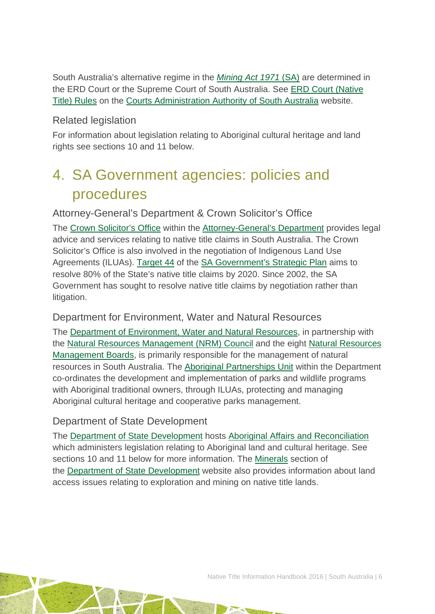South Australia's alternative regime in the *[Mining Act 1971](http://www.austlii.edu.au/au/legis/sa/consol_act/ma197181/)* (SA) are determined in the ERD Court or the Supreme Court of South Australia. See ERD Court [\(Native](http://www.courts.sa.gov.au/Lists/Court%20Rules/Attachments/38/Native%20Title%20Rules.pdf)  [Title\) Rules](http://www.courts.sa.gov.au/Lists/Court%20Rules/Attachments/38/Native%20Title%20Rules.pdf) on the [Courts Administration Authority of South Australia](http://www.courts.sa.gov.au/Pages/default.aspx) website.

### Related legislation

For information about legislation relating to Aboriginal cultural heritage and land rights see sections 10 and 11 below.

# <span id="page-6-0"></span>4. SA Government agencies: policies and procedures

Attorney-General's Department & Crown Solicitor's Office

The [Crown Solicitor's Office](http://www.agd.sa.gov.au/government/about-us/department/crown-solicitors-office) within the [Attorney-General's Department](http://www.agd.sa.gov.au/) provides legal advice and services relating to native title claims in South Australia. The Crown Solicitor's Office is also involved in the negotiation of Indigenous Land Use Agreements (ILUAs). [Target 44](http://saplan.org.au/targets/44-aboriginal-lands-native-title) of the [SA Government's Strategic Plan](http://saplan.org.au/) aims to resolve 80% of the State's native title claims by 2020. Since 2002, the SA Government has sought to resolve native title claims by negotiation rather than litigation.

### Department for Environment, Water and Natural Resources

The [Department of Environment, Water and Natural Resources,](http://www.environment.sa.gov.au/Home) in partnership with the [Natural Resources Management \(NRM\) Council](http://www.environment.sa.gov.au/about-us/boards-and-committees/Natural_Resources_Management_Council) and the eight [Natural Resources](http://www.environment.sa.gov.au/Conservation/Managing_natural_resources/Regional_Natural_Resources_Management_Boards)  [Management Boards,](http://www.environment.sa.gov.au/Conservation/Managing_natural_resources/Regional_Natural_Resources_Management_Boards) is primarily responsible for the management of natural resources in South Australia. The [Aboriginal Partnerships Unit](http://www.environment.sa.gov.au/managing-natural-resources/Park_management/Aboriginal_partnerships/Aboriginal_Partnerships_Unit) within the Department co-ordinates the development and implementation of parks and wildlife programs with Aboriginal traditional owners, through ILUAs, protecting and managing Aboriginal cultural heritage and cooperative parks management.

### Department of State Development

The [Department of State Development](http://www.dmitre.sa.gov.au/) hosts [Aboriginal Affairs and Reconciliation](http://www.statedevelopment.sa.gov.au/aboriginal-affairs/aboriginal-affairs-and-reconciliation/) which administers legislation relating to Aboriginal land and cultural heritage. See sections 10 and 11 below for more information. The [Minerals](http://minerals.statedevelopment.sa.gov.au/land_access/native_title_and_aboriginal_land) section of the [Department of State Development](http://www.dmitre.sa.gov.au/) website also provides information about land access issues relating to exploration and mining on native title lands.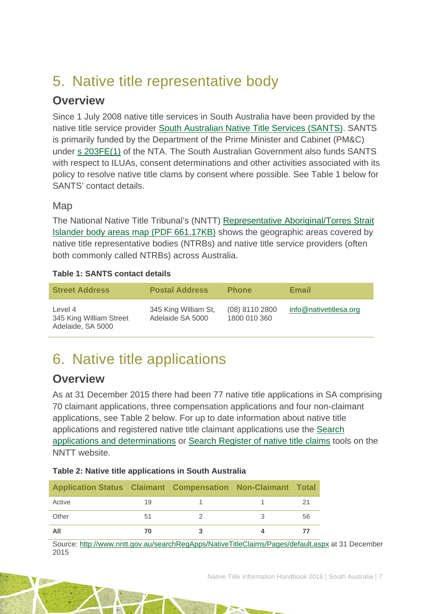# <span id="page-7-0"></span>5. Native title representative body

## **Overview**

Since 1 July 2008 native title services in South Australia have been provided by the native title service provider [South Australian Native Title Services \(SANTS\).](http://www.nativetitlesa.org/) SANTS is primarily funded by the Department of the Prime Minister and Cabinet (PM&C) under [s 203FE\(1\)](http://www.austlii.edu.au/au/legis/cth/consol_act/nta1993147/s203fe.html) of the NTA. The South Australian Government also funds SANTS with respect to ILUAs, consent determinations and other activities associated with its policy to resolve native title clams by consent where possible. See Table 1 below for SANTS' contact details.

### **Map**

The National Native Title Tribunal's (NNTT) [Representative Aboriginal/Torres Strait](http://www.nntt.gov.au/Maps/RATSIB_map.pdf)  [Islander body areas map \(PDF 661.17KB\)](http://www.nntt.gov.au/Maps/RATSIB_map.pdf) shows the geographic areas covered by native title representative bodies (NTRBs) and native title service providers (often both commonly called NTRBs) across Australia.

### **Table 1: SANTS contact details**

| <b>Street Address</b>                                   | <b>Postal Address</b>                    | <b>Phone</b>                   | Email                  |
|---------------------------------------------------------|------------------------------------------|--------------------------------|------------------------|
| Level 4<br>345 King William Street<br>Adelaide, SA 5000 | 345 King William St,<br>Adelaide SA 5000 | (08) 8110 2800<br>1800 010 360 | info@nativetitlesa.org |

# <span id="page-7-1"></span>6. Native title applications

## **Overview**

As at 31 December 2015 there had been 77 native title applications in SA comprising 70 claimant applications, three compensation applications and four non-claimant applications, see Table 2 below. For up to date information about native title applications and registered native title claimant applications use the [Search](http://www.nntt.gov.au/searchRegApps/NativeTitleClaims/Pages/default.aspx)  [applications and determinations](http://www.nntt.gov.au/searchRegApps/NativeTitleClaims/Pages/default.aspx) or [Search Register of native title claims](http://www.nntt.gov.au/searchRegApps/NativeTitleRegisters/Pages/Search-Register-of-Native-Title-Claims.aspx) tools on the NNTT website.

### **Table 2: Native title applications in South Australia**

| <b>Application Status Claimant Compensation Non-Claimant Total</b> |    |  |    |
|--------------------------------------------------------------------|----|--|----|
| Active                                                             | 19 |  |    |
| Other                                                              | 51 |  | 56 |
| All                                                                | 70 |  |    |

Source: <http://www.nntt.gov.au/searchRegApps/NativeTitleClaims/Pages/default.aspx> at 31 December 2015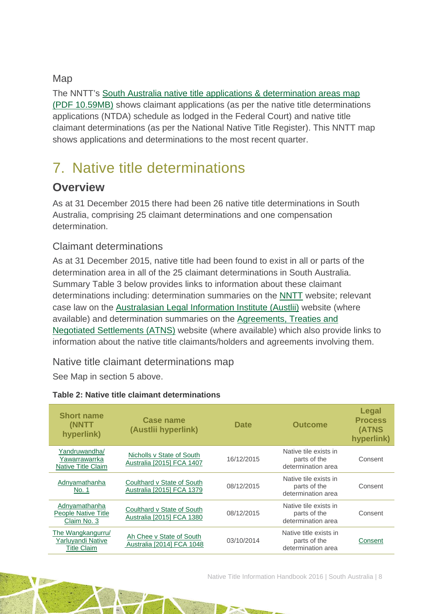Map

The NNTT's [South Australia native title applications & determination areas map](http://www.nntt.gov.au/Maps/SA_NTDA_Schedule.pdf)  [\(PDF 10.59MB\)](http://www.nntt.gov.au/Maps/SA_NTDA_Schedule.pdf) shows claimant applications (as per the native title determinations applications (NTDA) schedule as lodged in the Federal Court) and native title claimant determinations (as per the National Native Title Register). This NNTT map shows applications and determinations to the most recent quarter.

# <span id="page-8-0"></span>7. Native title determinations

## **Overview**

As at 31 December 2015 there had been 26 native title determinations in South Australia, comprising 25 claimant determinations and one compensation determination.

### Claimant determinations

As at 31 December 2015, native title had been found to exist in all or parts of the determination area in all of the 25 claimant determinations in South Australia. Summary Table 3 below provides links to information about these claimant determinations including: determination summaries on the [NNTT](http://www.nntt.gov.au/) website; relevant case law on the [Australasian Legal Information Institute \(Austlii\)](http://www.austlii.edu.au/) website (where available) and determination summaries on the [Agreements, Treaties and](http://www.atns.net.au/)  [Negotiated Settlements \(ATNS\)](http://www.atns.net.au/) website (where available) which also provide links to information about the native title claimants/holders and agreements involving them.

Native title claimant determinations map

See Map in section 5 above.

| <b>Short name</b><br>(NNTT<br>hyperlink)                     | Case name<br>(Austlii hyperlink)                        | <b>Date</b> | <b>Outcome</b>                                               | Legal<br><b>Process</b><br>(ATNS<br>hyperlink) |
|--------------------------------------------------------------|---------------------------------------------------------|-------------|--------------------------------------------------------------|------------------------------------------------|
| Yandruwandha/<br>Yawarrawarrka<br><b>Native Title Claim</b>  | Nicholls v State of South<br>Australia [2015] FCA 1407  | 16/12/2015  | Native tile exists in<br>parts of the<br>determination area  | Consent                                        |
| Adnyamathanha<br>No. 1                                       | Coulthard v State of South<br>Australia [2015] FCA 1379 | 08/12/2015  | Native tile exists in<br>parts of the<br>determination area  | Consent                                        |
| Adnyamathanha<br>People Native Title<br>Claim No. 3          | Coulthard v State of South<br>Australia [2015] FCA 1380 | 08/12/2015  | Native tile exists in<br>parts of the<br>determination area  | Consent                                        |
| The Wangkangurru/<br>Yarluyandi Native<br><b>Title Claim</b> | Ah Chee v State of South<br>Australia [2014] FCA 1048   | 03/10/2014  | Native title exists in<br>parts of the<br>determination area | Consent                                        |

### **Table 2: Native title claimant determinations**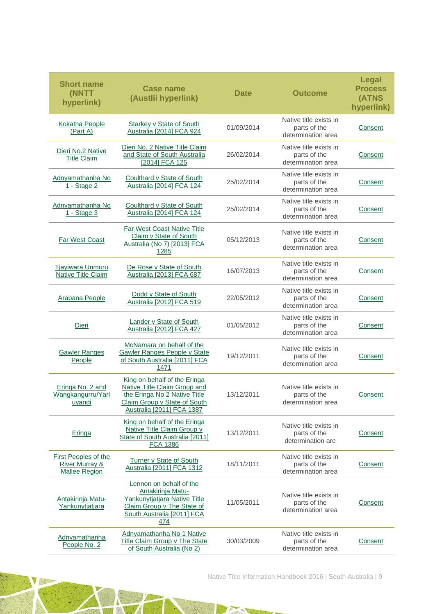| <b>Short name</b><br><b>(NNTT)</b><br>hyperlink)                                 | <b>Case name</b><br>(Austlii hyperlink)                                                                                                                   | <b>Date</b> | <b>Outcome</b>                                               | Legal<br><b>Process</b><br>(ATNS<br>hyperlink) |
|----------------------------------------------------------------------------------|-----------------------------------------------------------------------------------------------------------------------------------------------------------|-------------|--------------------------------------------------------------|------------------------------------------------|
| Kokatha People<br>(Part A)                                                       | Starkey v State of South<br>Australia [2014] FCA 924                                                                                                      | 01/09/2014  | Native title exists in<br>parts of the<br>determination area | Consent                                        |
| Dieri No.2 Native<br><b>Title Claim</b>                                          | Dieri No. 2 Native Title Claim<br>and State of South Australia<br>[2014] FCA 125                                                                          | 26/02/2014  | Native title exists in<br>parts of the<br>determination area | <b>Consent</b>                                 |
| Adnyamathanha No<br><u>1 - Stage 2</u>                                           | Coulthard v State of South<br>Australia [2014] FCA 124                                                                                                    | 25/02/2014  | Native title exists in<br>parts of the<br>determination area | <b>Consent</b>                                 |
| Adnyamathanha No<br>1 - Stage 3                                                  | Coulthard v State of South<br>Australia [2014] FCA 124                                                                                                    | 25/02/2014  | Native title exists in<br>parts of the<br>determination area | Consent                                        |
| <b>Far West Coast</b>                                                            | <b>Far West Coast Native Title</b><br>Claim v State of South<br>Australia (No 7) [2013] FCA<br>1285                                                       | 05/12/2013  | Native title exists in<br>parts of the<br>determination area | Consent                                        |
| <b>Tjayiwara Unmuru</b><br>Native Title Claim                                    | De Rose v State of South<br>Australia [2013] FCA 687                                                                                                      | 16/07/2013  | Native title exists in<br>parts of the<br>determination area | Consent                                        |
| Arabana People                                                                   | Dodd v State of South<br>Australia [2012] FCA 519                                                                                                         | 22/05/2012  | Native title exists in<br>parts of the<br>determination area | Consent                                        |
| Dieri                                                                            | Lander v State of South<br>Australia [2012] FCA 427                                                                                                       | 01/05/2012  | Native title exists in<br>parts of the<br>determination area | <b>Consent</b>                                 |
| <b>Gawler Ranges</b><br>People                                                   | McNamara on behalf of the<br>Gawler Ranges People v State<br>of South Australia [2011] FCA<br>1471                                                        | 19/12/2011  | Native title exists in<br>parts of the<br>determination area | Consent                                        |
| Eringa No. 2 and<br>Wangkangurru/Yarl<br>uyandi                                  | King on behalf of the Eringa<br>Native Title Claim Group and<br>the Eringa No 2 Native Title<br>Claim Group v State of South<br>Australia [2011] FCA 1387 | 13/12/2011  | Native title exists in<br>parts of the<br>determination area | Consent                                        |
| Eringa                                                                           | King on behalf of the Eringa<br>Native Title Claim Group v<br>State of South Australia [2011]<br><b>FCA 1386</b>                                          | 13/12/2011  | Native title exists in<br>parts of the<br>determination are  | Consent                                        |
| <b>First Peoples of the</b><br><b>River Murray &amp;</b><br><b>Mallee Region</b> | Turner v State of South<br>Australia [2011] FCA 1312                                                                                                      | 18/11/2011  | Native title exists in<br>parts of the<br>determination area | <b>Consent</b>                                 |
| <b>Antakirinja Matu-</b><br>Yankunytjatjara                                      | Lennon on behalf of the<br>Antakirinja Matu-<br>Yankunytjatjara Native Title<br>Claim Group v The State of<br>South Australia [2011] FCA<br>474           | 11/05/2011  | Native title exists in<br>parts of the<br>determination area | Consent                                        |
| Adnyamathanha<br>People No. 2                                                    | Adnyamathanha No 1 Native<br><b>Title Claim Group v The State</b><br>of South Australia (No 2)                                                            | 30/03/2009  | Native title exists in<br>parts of the<br>determination area | <b>Consent</b>                                 |

 $\mathcal{A}_{\text{eff}}$ 

 $\frac{1}{2}$ 

 $\rightarrow$ 

Native Title Information Handbook 2016 | South Australia | 9

e. Y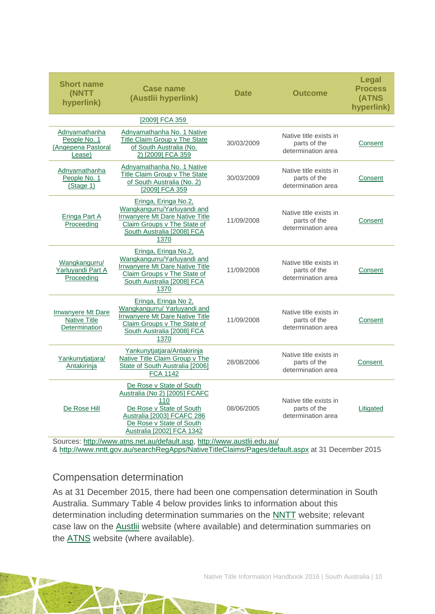| <b>Short name</b><br>(NNTT<br>hyperlink)                      | <b>Case name</b><br>(Austlii hyperlink)                                                                                                                                             | <b>Outcome</b><br><b>Date</b> |                                                              | <b>Legal</b><br><b>Process</b><br>(ATNS<br>hyperlink) |
|---------------------------------------------------------------|-------------------------------------------------------------------------------------------------------------------------------------------------------------------------------------|-------------------------------|--------------------------------------------------------------|-------------------------------------------------------|
|                                                               | [2009] FCA 359                                                                                                                                                                      |                               |                                                              |                                                       |
| Adnyamathanha<br>People No. 1<br>(Angepena Pastoral<br>Lease) | Adnyamathanha No. 1 Native<br>Title Claim Group v The State<br>of South Australia (No.<br>2) [2009] FCA 359                                                                         | 30/03/2009                    | Native title exists in<br>parts of the<br>determination area | Consent                                               |
| Adnyamathanha<br>People No. 1<br>(Stage 1)                    | Adnyamathanha No. 1 Native<br>Title Claim Group v The State<br>of South Australia (No. 2)<br>[2009] FCA 359                                                                         | 30/03/2009                    | Native title exists in<br>parts of the<br>determination area | Consent                                               |
| Eringa Part A<br>Proceeding                                   | Eringa, Eringa No.2,<br>Wangkangurru/Yarluyandi and<br>Irrwanyere Mt Dare Native Title<br>Claim Groups v The State of<br>South Australia [2008] FCA<br>1370                         | 11/09/2008                    | Native title exists in<br>parts of the<br>determination area | Consent                                               |
| Wangkangurru/<br>Yarluyandi Part A<br>Proceeding              | Eringa, Eringa No.2,<br>Wangkangurru/Yarluyandi and<br>Irrwanyere Mt Dare Native Title<br>Claim Groups v The State of<br>South Australia [2008] FCA<br>1370                         | 11/09/2008                    | Native title exists in<br>parts of the<br>determination area | Consent                                               |
| Irrwanyere Mt Dare<br><b>Native Title</b><br>Determination    | Eringa, Eringa No 2,<br>Wangkangurru/ Yarluyandi and<br>Irrwanyere Mt Dare Native Title<br>Claim Groups v The State of<br>South Australia [2008] FCA<br>1370                        | 11/09/2008                    | Native title exists in<br>parts of the<br>determination area | Consent                                               |
| Yankunytjatjara/<br>Antakirinja                               | Yankunytjatjara/Antakirinja<br>Native Title Claim Group v The<br>State of South Australia [2006]<br><b>FCA 1142</b>                                                                 | 28/08/2006                    | Native title exists in<br>parts of the<br>determination area | Consent                                               |
| De Rose Hill                                                  | De Rose v State of South<br>Australia (No 2) [2005] FCAFC<br>110<br>De Rose v State of South<br>Australia [2003] FCAFC 286<br>De Rose v State of South<br>Australia [2002] FCA 1342 | 08/06/2005                    | Native title exists in<br>parts of the<br>determination area | Litigated                                             |

Sources: [http://www.atns.net.au/default.asp,](http://www.atns.net.au/default.asp)<http://www.austlii.edu.au/> & [http://www.nntt.gov.au/searchRegApps/NativeTitleClaims/Pages/default.aspx](http://www.nntt.gov.au/searchRegApps/NativeTitleClaims/Pages/default.aspx%20at%2031%20December%202015) at 31 December 2015

### Compensation determination

As at 31 December 2015, there had been one compensation determination in South Australia. Summary Table 4 below provides links to information about this determination including determination summaries on the [NNTT](http://www.nntt.gov.au/) website; relevant case law on the [Austlii](http://www.austlii.edu.au/) website (where available) and determination summaries on the [ATNS](http://www.atns.net.au/) website (where available).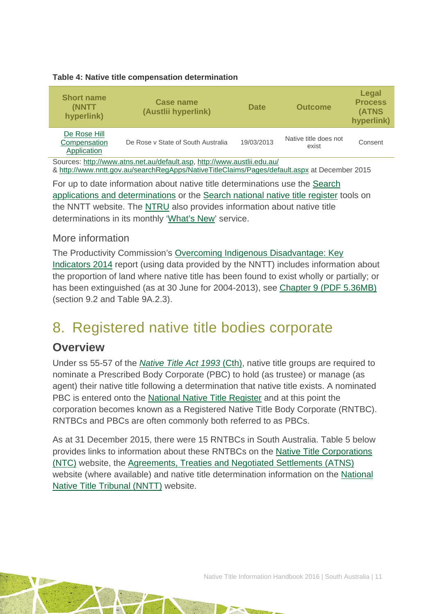#### **Table 4: Native title compensation determination**

| <b>Short name</b><br>(NNTT)<br>hyperlink)                                         | <b>Case name</b><br>(Austlii hyperlink) | <b>Date</b> | <b>Outcome</b>                 | Legal<br><b>Process</b><br>(ATNS<br>hyperlink) |  |  |
|-----------------------------------------------------------------------------------|-----------------------------------------|-------------|--------------------------------|------------------------------------------------|--|--|
| De Rose Hill<br>Compensation<br>De Rose y State of South Australia<br>Application |                                         | 19/03/2013  | Native title does not<br>exist | Consent                                        |  |  |
| Sources: http://www.atns.net.au/default.asp, http://www.austlii.edu.au/           |                                         |             |                                |                                                |  |  |

& [http://www.nntt.gov.au/searchRegApps/NativeTitleClaims/Pages/default.aspx](http://www.nntt.gov.au/searchRegApps/NativeTitleClaims/Pages/default.aspx%20at%2031%20December%202015) at December 2015

For up to date information about native title determinations use the [Search](http://www.nntt.gov.au/searchRegApps/NativeTitleClaims/Pages/default.aspx)  [applications and determinations](http://www.nntt.gov.au/searchRegApps/NativeTitleClaims/Pages/default.aspx) or the [Search national native title register](http://www.nntt.gov.au/searchRegApps/NativeTitleRegisters/Pages/Search-National-Native-Title-Register.aspx) tools on the NNTT website. The [NTRU](http://aiatsis.gov.au/research/research-themes/native-title) also provides information about native title determinations in its monthly ['What's New'](http://aiatsis.gov.au/research/research-themes/native-title/publications/whats-new) service.

### More information

The Productivity Commission's [Overcoming Indigenous Disadvantage: Key](http://www.pc.gov.au/research/recurring/overcoming-indigenous-disadvantage/key-indicators-2014)  [Indicators 2014](http://www.pc.gov.au/research/recurring/overcoming-indigenous-disadvantage/key-indicators-2014) report (using data provided by the NNTT) includes information about the proportion of land where native title has been found to exist wholly or partially; or has been extinguished (as at 30 June for 2004-2013), see [Chapter 9 \(PDF](http://www.pc.gov.au/research/recurring/overcoming-indigenous-disadvantage/key-indicators-2014/09-key-indicators-2014-chapter9.pdf) 5.36MB) (section 9.2 and Table 9A.2.3).

## <span id="page-11-0"></span>8. Registered native title bodies corporate

### **Overview**

Under ss 55-57 of the *[Native Title Act 1993](http://www.austlii.edu.au/au/legis/cth/consol_act/nta1993147/)* (Cth), native title groups are required to nominate a Prescribed Body Corporate (PBC) to hold (as trustee) or manage (as agent) their native title following a determination that native title exists. A nominated PBC is entered onto the [National Native Title Register](http://www.nntt.gov.au/searchRegApps/NativeTitleRegisters/Pages/Search-National-Native-Title-Register.aspx) and at this point the corporation becomes known as a Registered Native Title Body Corporate (RNTBC). RNTBCs and PBCs are often commonly both referred to as PBCs.

As at 31 December 2015, there were 15 RNTBCs in South Australia. Table 5 below provides links to information about these RNTBCs on the [Native Title Corporations](http://www.nativetitle.org.au/)  [\(NTC\)](http://www.nativetitle.org.au/) website, the [Agreements, Treaties and Negotiated Settlements \(ATNS\)](http://www.atns.net.au/) website (where available) and native title determination information on the [National](http://www.nntt.gov.au/)  [Native Title Tribunal \(NNTT\)](http://www.nntt.gov.au/) website.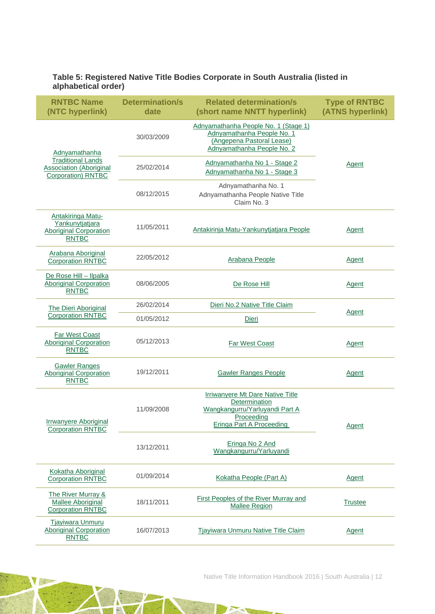#### **Table 5: Registered Native Title Bodies Corporate in South Australia (listed in alphabetical order)**

| <b>RNTBC Name</b><br>(NTC hyperlink)                                                         | <b>Determination/s</b><br>date | <b>Related determination/s</b><br>(short name NNTT hyperlink)                                                                 | <b>Type of RNTBC</b><br>(ATNS hyperlink) |  |
|----------------------------------------------------------------------------------------------|--------------------------------|-------------------------------------------------------------------------------------------------------------------------------|------------------------------------------|--|
| Adnyamathanha                                                                                | 30/03/2009                     | Adnyamathanha People No. 1 (Stage 1)<br>Adnyamathanha People No. 1<br>(Angepena Pastoral Lease)<br>Adnyamathanha People No. 2 |                                          |  |
| <b>Traditional Lands</b><br><b>Association (Aboriginal</b><br>Corporation) RNTBC             | 25/02/2014                     | Adnyamathanha No 1 - Stage 2<br>Adnyamathanha No 1 - Stage 3                                                                  | Agent                                    |  |
|                                                                                              | 08/12/2015                     | Adnyamathanha No. 1<br>Adnyamathanha People Native Title<br>Claim No. 3                                                       |                                          |  |
| <b>Antakiringa Matu-</b><br>Yankunytjatjara<br><b>Aboriginal Corporation</b><br><b>RNTBC</b> | 11/05/2011                     | Antakirinja Matu-Yankunytjatjara People                                                                                       | Agent                                    |  |
| Arabana Aboriginal<br><b>Corporation RNTBC</b>                                               | 22/05/2012                     | Arabana People                                                                                                                | Agent                                    |  |
| De Rose Hill - Ilpalka<br><b>Aboriginal Corporation</b><br><b>RNTBC</b>                      | 08/06/2005                     | De Rose Hill                                                                                                                  | <b>Agent</b>                             |  |
| The Dieri Aboriginal                                                                         | 26/02/2014                     | Dieri No.2 Native Title Claim                                                                                                 | Agent                                    |  |
| <b>Corporation RNTBC</b>                                                                     | 01/05/2012                     | Dieri                                                                                                                         |                                          |  |
| <b>Far West Coast</b><br>Aboriginal Corporation<br><b>RNTBC</b>                              | 05/12/2013                     | <b>Far West Coast</b>                                                                                                         | Agent                                    |  |
| <b>Gawler Ranges</b><br><b>Aboriginal Corporation</b><br><b>RNTBC</b>                        | 19/12/2011                     | <b>Gawler Ranges People</b>                                                                                                   | <b>Agent</b>                             |  |
| <b>Irrwanyere Aboriginal</b><br><b>Corporation RNTBC</b>                                     | 11/09/2008                     | Irriwanyere Mt Dare Native Title<br>Determination<br>Wangkangurru/Yarluyandi Part A<br>Proceeding<br>Eringa Part A Proceeding | Agent                                    |  |
|                                                                                              | 13/12/2011                     | Eringa No 2 And<br>Wangkangurru/Yarluyandi                                                                                    |                                          |  |
| Kokatha Aboriginal<br><b>Corporation RNTBC</b>                                               | 01/09/2014                     | Kokatha People (Part A)                                                                                                       | <b>Agent</b>                             |  |
| The River Murray &<br><b>Mallee Aboriginal</b><br><b>Corporation RNTBC</b>                   | 18/11/2011                     | First Peoples of the River Murray and<br><b>Mallee Region</b>                                                                 | <b>Trustee</b>                           |  |
| <b>Tjayiwara Unmuru</b><br><b>Aboriginal Corporation</b><br><b>RNTBC</b>                     | 16/07/2013                     | Tjayiwara Unmuru Native Title Claim                                                                                           | <b>Agent</b>                             |  |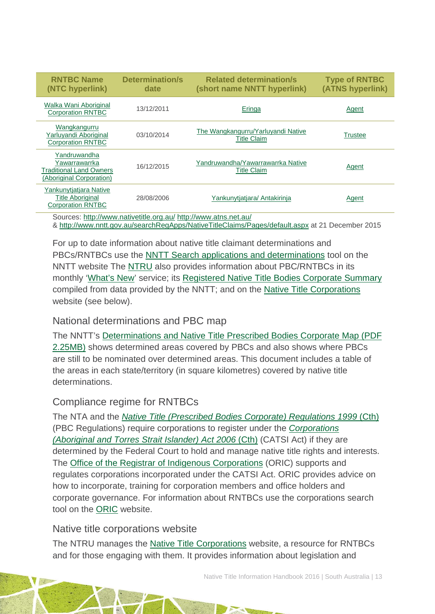| <b>RNTBC Name</b><br>(NTC hyperlink)                                                 | <b>Determination/s</b><br>date | <b>Related determination/s</b><br>(short name NNTT hyperlink) | <b>Type of RNTBC</b><br>(ATNS hyperlink) |  |  |
|--------------------------------------------------------------------------------------|--------------------------------|---------------------------------------------------------------|------------------------------------------|--|--|
| Walka Wani Aboriginal<br><b>Corporation RNTBC</b>                                    | 13/12/2011                     | Eringa                                                        | Agent                                    |  |  |
| Wangkangurru<br>Yarluyandi Aboriginal<br><b>Corporation RNTBC</b>                    | 03/10/2014                     | The Wangkangurru/Yarluyandi Native<br><b>Title Claim</b>      | Trustee                                  |  |  |
| Yandruwandha<br>Yawarrawarrka<br>Traditional Land Owners<br>(Aboriginal Corporation) | 16/12/2015                     | Yandruwandha/Yawarrawarrka Native<br>Title Claim              | Agent                                    |  |  |
| Yankunytjatjara Native<br><b>Title Aboriginal</b><br><b>Corporation RNTBC</b>        | 28/08/2006                     | Yankunytiatiara/ Antakirinja                                  | Agent                                    |  |  |
| Sources: http://www.nativetitle.org.au/ http://www.atns.net.au/                      |                                |                                                               |                                          |  |  |

&<http://www.nntt.gov.au/searchRegApps/NativeTitleClaims/Pages/default.aspx> at 21 December 2015

For up to date information about native title claimant determinations and PBCs/RNTBCs use the [NNTT Search applications and determinations](http://www.nntt.gov.au/searchRegApps/NativeTitleClaims/Pages/default.aspx) tool on the NNTT website The [NTRU](http://aiatsis.gov.au/research/research-themes/native-title) also provides information about PBC/RNTBCs in its monthly ['What's New'](http://aiatsis.gov.au/research/research-themes/native-title/publications/whats-new) service; its [Registered Native Title Bodies Corporate Summary](http://aiatsis.gov.au/publications/products/registered-native-title-bodies-corporate-prescribed-bodies-corporate-summary) compiled from data provided by the NNTT; and on the [Native Title Corporations](http://www.nativetitle.org.au/) website (see below).

### National determinations and PBC map

The NNTT's [Determinations and Native Title Prescribed Bodies Corporate Map \(PDF](http://www.nntt.gov.au/Maps/Determinations_and_PBCs_map.pdf)  [2.25MB\)](http://www.nntt.gov.au/Maps/Determinations_and_PBCs_map.pdf) shows determined areas covered by PBCs and also shows where PBCs are still to be nominated over determined areas. This document includes a table of the areas in each state/territory (in square kilometres) covered by native title determinations.

### Compliance regime for RNTBCs

The NTA and the *[Native Title \(Prescribed Bodies Corporate\) Regulations 1999](http://www.austlii.edu.au/au/legis/cth/consol_reg/ntbcr1999495/)* (Cth) (PBC Regulations) require corporations to register under the *[Corporations](http://www5.austlii.edu.au/au/legis/cth/consol_act/catsia2006510/)  [\(Aboriginal and Torres Strait Islander\) Act 2006](http://www5.austlii.edu.au/au/legis/cth/consol_act/catsia2006510/)* (Cth) (CATSI Act) if they are determined by the Federal Court to hold and manage native title rights and interests. The [Office of the Registrar of Indigenous Corporations](http://www.oric.gov.au/) (ORIC) supports and regulates corporations incorporated under the CATSI Act. ORIC provides advice on how to incorporate, training for corporation members and office holders and corporate governance. For information about RNTBCs use the corporations search tool on the [ORIC](http://www.oric.gov.au/) website.

### Native title corporations website

The NTRU manages the [Native Title Corporations](http://www.nativetitle.org.au/) website, a resource for RNTBCs and for those engaging with them. It provides information about legislation and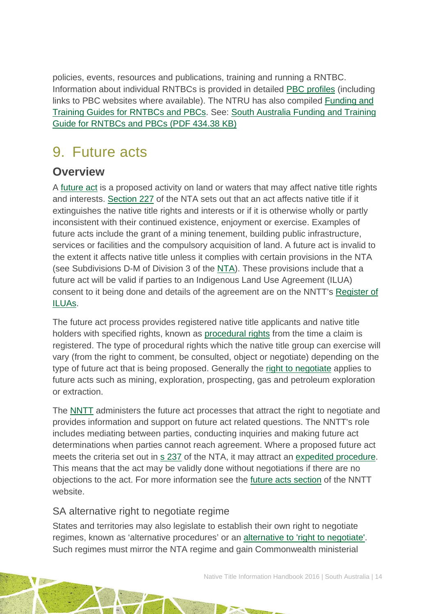policies, events, resources and publications, training and running a RNTBC. Information about individual RNTBCs is provided in detailed [PBC profiles](http://www.nativetitle.org.au/profiles.html) (including links to PBC websites where available). The NTRU has also compiled [Funding and](http://nativetitle.org.au/toolkits.html)  [Training Guides for RNTBCs and PBCs.](http://nativetitle.org.au/toolkits.html) See: [South Australia Funding and Training](http://nativetitle.org.au/documents/2015_sa_pbc_funding_and_training_guide.pdf)  [Guide for RNTBCs and PBCs \(PDF 434.38 KB\)](http://nativetitle.org.au/documents/2015_sa_pbc_funding_and_training_guide.pdf)

# <span id="page-14-0"></span>9. Future acts

## **Overview**

A [future act](http://www.nntt.gov.au/Pages/Glossary.aspx) is a proposed activity on land or waters that may affect native title rights and interests. [Section 227](http://www.austlii.edu.au/au/legis/cth/consol_act/nta1993147/s227.html) of the NTA sets out that an act affects native title if it extinguishes the native title rights and interests or if it is otherwise wholly or partly inconsistent with their continued existence, enjoyment or exercise. Examples of future acts include the grant of a mining tenement, building public infrastructure, services or facilities and the compulsory acquisition of land. A future act is invalid to the extent it affects native title unless it complies with certain provisions in the NTA (see Subdivisions D-M of Division 3 of the [NTA\)](http://www.austlii.edu.au/au/legis/cth/consol_act/nta1993147/). These provisions include that a future act will be valid if parties to an Indigenous Land Use Agreement (ILUA) consent to it being done and details of the agreement are on the NNTT's [Register of](http://www.nntt.gov.au/searchRegApps/NativeTitleRegisters/Pages/Search-Register-of-Indigenous-Land-Use-Agreements.aspx)  [ILUAs.](http://www.nntt.gov.au/searchRegApps/NativeTitleRegisters/Pages/Search-Register-of-Indigenous-Land-Use-Agreements.aspx)

The future act process provides registered native title applicants and native title holders with specified rights, known as [procedural rights](http://www.nntt.gov.au/Pages/Glossary.aspx) from the time a claim is registered. The type of procedural rights which the native title group can exercise will vary (from the right to comment, be consulted, object or negotiate) depending on the type of future act that is being proposed. Generally the [right to negotiate](http://www.nntt.gov.au/Pages/Glossary.aspx) applies to future acts such as mining, exploration, prospecting, gas and petroleum exploration or extraction.

The [NNTT](http://www.nntt.gov.au/Pages/Home-Page.aspx) administers the future act processes that attract the right to negotiate and provides information and support on future act related questions. The NNTT's role includes mediating between parties, conducting inquiries and making future act determinations when parties cannot reach agreement. Where a proposed future act meets the criteria set out in [s 237](http://www.austlii.edu.au/au/legis/cth/consol_act/nta1993147/s237.html) of the NTA, it may attract an [expedited procedure.](http://www.nntt.gov.au/Pages/Glossary.aspx) This means that the act may be validly done without negotiations if there are no objections to the act. For more information see the [future acts section](http://www.nntt.gov.au/futureacts/Pages/default.aspx) of the NNTT website.

### SA alternative right to negotiate regime

States and territories may also legislate to establish their own right to negotiate regimes, known as 'alternative procedures' or an [alternative to 'right to negotiate'.](http://www.ag.gov.au/LegalSystem/NativeTitle/Pages/StateAndTerritoryAlternativeToRightToNegotiate.aspx) Such regimes must mirror the NTA regime and gain Commonwealth ministerial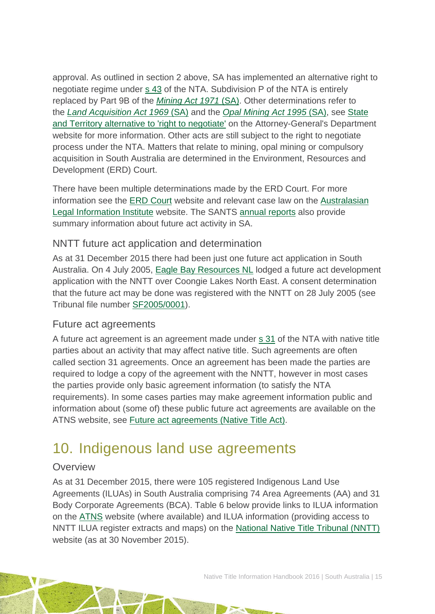approval. As outlined in section 2 above, SA has implemented an alternative right to negotiate regime under s [43](http://www.austlii.edu.au/au/legis/cth/consol_act/nta1993147/s43.html) of the NTA. Subdivision P of the NTA is entirely replaced by Part 9B of the *[Mining Act 1971](http://www5.austlii.edu.au/au/legis/sa/consol_act/ma197181/)* (SA). Other determinations refer to the *[Land Acquisition Act 1969](http://www.austlii.edu.au/au/legis/sa/consol_act/laa1969174/)* (SA) and the *[Opal Mining Act 1995](http://www.austlii.edu.au/au/legis/sa/consol_act/oma1995121/)* (SA), see [State](http://www.ag.gov.au/LegalSystem/NativeTitle/Pages/StateAndTerritoryAlternativeToRightToNegotiate.aspx)  [and Territory alternative to 'right to negotiate'](http://www.ag.gov.au/LegalSystem/NativeTitle/Pages/StateAndTerritoryAlternativeToRightToNegotiate.aspx) on the Attorney-General's Department website for more information. Other acts are still subject to the right to negotiate process under the NTA. Matters that relate to mining, opal mining or compulsory acquisition in South Australia are determined in the Environment, Resources and Development (ERD) Court.

There have been multiple determinations made by the ERD Court. For more information see the ERD [Court](http://www.courts.sa.gov.au/OurCourts/ERDCourt/Pages/default.aspx) website and relevant case law on the [Australasian](http://www.austlii.edu.au/)  [Legal Information Institute](http://www.austlii.edu.au/) website. The SANTS [annual reports](http://www.nativetitlesa.org/our-publications) also provide summary information about future act activity in SA.

### NNTT future act application and determination

As at 31 December 2015 there had been just one future act application in South Australia. On 4 July 2005, [Eagle Bay Resources NL](http://www.nntt.gov.au/searchRegApps/FutureActs/Pages/FA_details.aspx?NNTT_Fileno=SF2005/0001) lodged a future act development application with the NNTT over Coongie Lakes North East. A consent determination that the future act may be done was registered with the NNTT on 28 July 2005 (see Tribunal file number [SF2005/0001\)](http://www.nntt.gov.au/Future-Acts/Search-FA-Determinations/Pages/SF051.aspx).

### Future act agreements

A future act agreement is an agreement made under s [31](http://www.austlii.edu.au/au/legis/cth/consol_act/nta1993147/s31.html) of the NTA with native title parties about an activity that may affect native title. Such agreements are often called section 31 agreements. Once an agreement has been made the parties are required to lodge a copy of the agreement with the NNTT, however in most cases the parties provide only basic agreement information (to satisfy the NTA requirements). In some cases parties may make agreement information public and information about (some of) these public future act agreements are available on the ATNS website, see [Future act agreements \(Native Title Act\).](http://www.atns.net.au/subcategory.asp?subcategoryID=120)

## <span id="page-15-0"></span>10. Indigenous land use agreements

### **Overview**

As at 31 December 2015, there were 105 registered Indigenous Land Use Agreements (ILUAs) in South Australia comprising 74 Area Agreements (AA) and 31 Body Corporate Agreements (BCA). Table 6 below provide links to ILUA information on the [ATNS](http://www.atns.net.au/) website (where available) and ILUA information (providing access to NNTT ILUA register extracts and maps) on the [National Native Title Tribunal \(NNTT\)](http://www.nntt.gov.au/) website (as at 30 November 2015).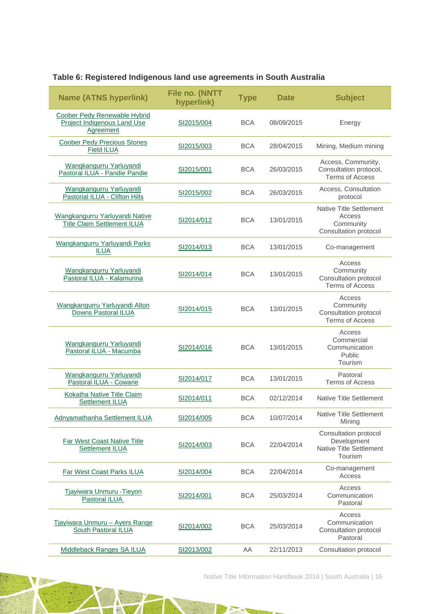| <b>Name (ATNS hyperlink)</b>                                             | File no. (NNTT<br>hyperlink) | <b>Type</b> | <b>Date</b> | <b>Subject</b>                                                                    |
|--------------------------------------------------------------------------|------------------------------|-------------|-------------|-----------------------------------------------------------------------------------|
| Coober Pedy Renewable Hybrid<br>Project Indigenous Land Use<br>Agreement | SI2015/004                   | <b>BCA</b>  | 08/09/2015  | Energy                                                                            |
| <b>Coober Pedy Precious Stones</b><br><b>Field ILUA</b>                  | SI2015/003                   | <b>BCA</b>  | 28/04/2015  | Mining, Medium mining                                                             |
| Wangkangurru Yarluyandi<br>Pastoral ILUA - Pandie Pandie                 | SI2015/001                   | <b>BCA</b>  | 26/03/2015  | Access, Community,<br>Consultation protocol,<br><b>Terms of Access</b>            |
| Wangkangurru Yarluyandi<br>Pastorial ILUA - Clifton Hills                | SI2015/002                   | <b>BCA</b>  | 26/03/2015  | Access, Consultation<br>protocol                                                  |
| Wangkangurru Yarluyandi Native<br><b>Title Claim Settlement ILUA</b>     | SI2014/012                   | <b>BCA</b>  | 13/01/2015  | <b>Native Title Settlement</b><br>Access<br>Community<br>Consultation protocol    |
| Wangkangurru Yarluyandi Parks<br><b>ILUA</b>                             | SI2014/013                   | <b>BCA</b>  | 13/01/2015  | Co-management                                                                     |
| Wangkangurru Yarluyandi<br>Pastoral ILUA - Kalamurina                    | SI2014/014                   | <b>BCA</b>  | 13/01/2015  | Access<br>Community<br>Consultation protocol<br><b>Terms of Access</b>            |
| Wangkangurru Yarluyandi Alton<br>Downs Pastoral ILUA                     | SI2014/015                   | <b>BCA</b>  | 13/01/2015  | Access<br>Community<br>Consultation protocol<br><b>Terms of Access</b>            |
| Wangkangurru Yarluyandi<br>Pastoral ILUA - Macumba                       | SI2014/016                   | <b>BCA</b>  | 13/01/2015  | Access<br>Commercial<br>Communication<br>Public<br>Tourism                        |
| Wangkangurru Yarluyandi<br>Pastoral ILUA - Cowarie                       | SI2014/017                   | <b>BCA</b>  | 13/01/2015  | Pastoral<br><b>Terms of Access</b>                                                |
| Kokatha Native Title Claim<br>Settlement ILUA                            | SI2014/011                   | <b>BCA</b>  | 02/12/2014  | <b>Native Title Settlement</b>                                                    |
| Adnyamathanha Settlement ILUA                                            | SI2014/005                   | <b>BCA</b>  | 10/07/2014  | Native Title Settlement<br>Mining                                                 |
| <b>Far West Coast Native Title</b><br>Settlement ILUA                    | SI2014/003                   | <b>BCA</b>  | 22/04/2014  | Consultation protocol<br>Development<br><b>Native Title Settlement</b><br>Tourism |
| <b>Far West Coast Parks ILUA</b>                                         | SI2014/004                   | <b>BCA</b>  | 22/04/2014  | Co-management<br>Access                                                           |
| Tjayiwara Unmuru - Tieyon<br>Pastoral ILUA                               | SI2014/001                   | <b>BCA</b>  | 25/03/2014  | Access<br>Communication<br>Pastoral                                               |
| Tjayiwara Unmuru - Ayers Range<br><b>South Pastoral ILUA</b>             | SI2014/002                   | <b>BCA</b>  | 25/03/2014  | Access<br>Communication<br>Consultation protocol<br>Pastoral                      |
| <b>Middleback Ranges SA ILUA</b>                                         | SI2013/002                   | AA          | 22/11/2013  | Consultation protocol                                                             |

TA.

Native Title Information Handbook 2016 | South Australia | 16

P.A

o To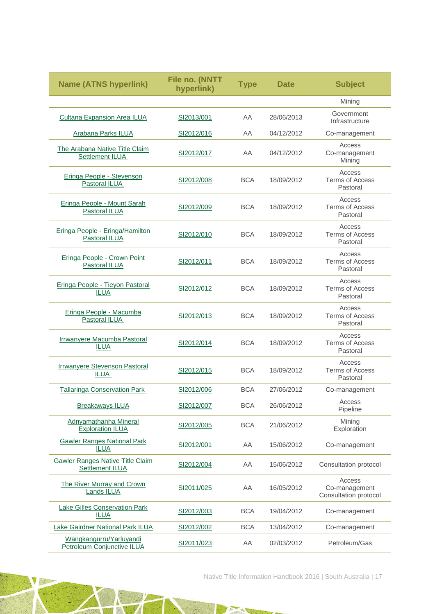| <b>Name (ATNS hyperlink)</b>                          | File no. (NNTT<br>hyperlink) | <b>Type</b> | <b>Date</b> | <b>Subject</b>                                   |
|-------------------------------------------------------|------------------------------|-------------|-------------|--------------------------------------------------|
|                                                       |                              |             |             | Mining                                           |
| <b>Cultana Expansion Area ILUA</b>                    | SI2013/001                   | AA          | 28/06/2013  | Government<br>Infrastructure                     |
| <b>Arabana Parks ILUA</b>                             | SI2012/016                   | AA          | 04/12/2012  | Co-management                                    |
| The Arabana Native Title Claim<br>Settlement ILUA     | SI2012/017                   | AA          | 04/12/2012  | Access<br>Co-management<br>Mining                |
| Eringa People - Stevenson<br>Pastoral ILUA            | SI2012/008                   | <b>BCA</b>  | 18/09/2012  | Access<br><b>Terms of Access</b><br>Pastoral     |
| Eringa People - Mount Sarah<br>Pastoral ILUA          | SI2012/009                   | <b>BCA</b>  | 18/09/2012  | Access<br><b>Terms of Access</b><br>Pastoral     |
| Eringa People - Eringa/Hamilton<br>Pastoral ILUA      | SI2012/010                   | <b>BCA</b>  | 18/09/2012  | Access<br><b>Terms of Access</b><br>Pastoral     |
| Eringa People - Crown Point<br>Pastoral ILUA          | SI2012/011                   | <b>BCA</b>  | 18/09/2012  | Access<br><b>Terms of Access</b><br>Pastoral     |
| Eringa People - Tieyon Pastoral<br><b>ILUA</b>        | SI2012/012                   | <b>BCA</b>  | 18/09/2012  | Access<br><b>Terms of Access</b><br>Pastoral     |
| Eringa People - Macumba<br>Pastoral ILUA              | SI2012/013                   | <b>BCA</b>  | 18/09/2012  | Access<br><b>Terms of Access</b><br>Pastoral     |
| Irrwanyere Macumba Pastoral<br><b>ILUA</b>            | SI2012/014                   | <b>BCA</b>  | 18/09/2012  | Access<br><b>Terms of Access</b><br>Pastoral     |
| <b>Irrwanyere Stevenson Pastoral</b><br>ILUA          | SI2012/015                   | <b>BCA</b>  | 18/09/2012  | Access<br><b>Terms of Access</b><br>Pastoral     |
| <b>Tallaringa Conservation Park</b>                   | SI2012/006                   | <b>BCA</b>  | 27/06/2012  | Co-management                                    |
| <b>Breakaways ILUA</b>                                | SI2012/007                   | <b>BCA</b>  | 26/06/2012  | Access<br>Pipeline                               |
| Adnyamathanha Mineral<br><b>Exploration ILUA</b>      | SI2012/005                   | <b>BCA</b>  | 21/06/2012  | Mining<br>Exploration                            |
| <b>Gawler Ranges National Park</b><br><b>ILUA</b>     | SI2012/001                   | AA          | 15/06/2012  | Co-management                                    |
| Gawler Ranges Native Title Claim<br>Settlement ILUA   | SI2012/004                   | AA          | 15/06/2012  | Consultation protocol                            |
| The River Murray and Crown<br><b>Lands ILUA</b>       | SI2011/025                   | AA          | 16/05/2012  | Access<br>Co-management<br>Consultation protocol |
| <b>Lake Gilles Conservation Park</b><br><b>ILUA</b>   | SI2012/003                   | <b>BCA</b>  | 19/04/2012  | Co-management                                    |
| Lake Gairdner National Park ILUA                      | SI2012/002                   | <b>BCA</b>  | 13/04/2012  | Co-management                                    |
| Wangkangurru/Yarluyandi<br>Petroleum Conjunctive ILUA | SI2011/023                   | AA          | 02/03/2012  | Petroleum/Gas                                    |

T.

 $\rightarrow$ 

Native Title Information Handbook 2016 | South Australia | 17

 $\mathbb{Z}^p$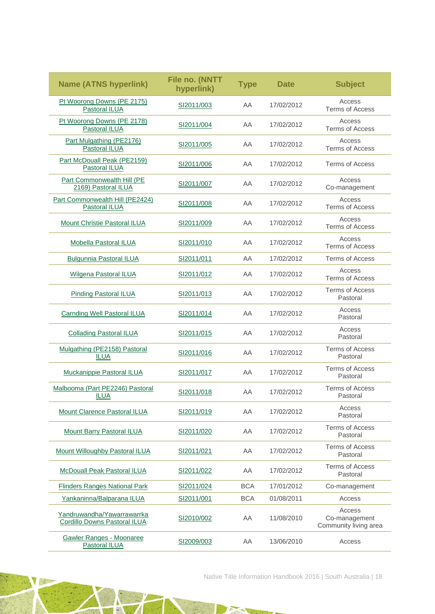| <b>Name (ATNS hyperlink)</b>                               | File no. (NNTT<br>hyperlink) | <b>Type</b> | <b>Date</b> | <b>Subject</b>                                   |
|------------------------------------------------------------|------------------------------|-------------|-------------|--------------------------------------------------|
| Pt Woorong Downs (PE 2175)<br>Pastoral ILUA                | SI2011/003                   | AA          | 17/02/2012  | Access<br><b>Terms of Access</b>                 |
| Pt Woorong Downs (PE 2178)<br><b>Pastoral ILUA</b>         | SI2011/004                   | AA          | 17/02/2012  | Access<br><b>Terms of Access</b>                 |
| Part Mulgathing (PE2176)<br>Pastoral ILUA                  | SI2011/005                   | AA          | 17/02/2012  | Access<br><b>Terms of Access</b>                 |
| Part McDouall Peak (PE2159)<br>Pastoral ILUA               | SI2011/006                   | AA          | 17/02/2012  | <b>Terms of Access</b>                           |
| Part Commonwealth Hill (PE<br>2169) Pastoral ILUA          | SI2011/007                   | AA          | 17/02/2012  | Access<br>Co-management                          |
| Part Commonwealth Hill (PE2424)<br>Pastoral ILUA           | SI2011/008                   | AA          | 17/02/2012  | Access<br><b>Terms of Access</b>                 |
| Mount Christie Pastoral ILUA                               | SI2011/009                   | AA          | 17/02/2012  | Access<br><b>Terms of Access</b>                 |
| <b>Mobella Pastoral ILUA</b>                               | SI2011/010                   | AA          | 17/02/2012  | Access<br><b>Terms of Access</b>                 |
| <b>Bulgunnia Pastoral ILUA</b>                             | SI2011/011                   | AA          | 17/02/2012  | <b>Terms of Access</b>                           |
| <b>Wilgena Pastoral ILUA</b>                               | SI2011/012                   | AA          | 17/02/2012  | Access<br><b>Terms of Access</b>                 |
| <b>Pinding Pastoral ILUA</b>                               | SI2011/013                   | AA          | 17/02/2012  | <b>Terms of Access</b><br>Pastoral               |
| <b>Carnding Well Pastoral ILUA</b>                         | SI2011/014                   | AA          | 17/02/2012  | Access<br>Pastoral                               |
| <b>Collading Pastoral ILUA</b>                             | SI2011/015                   | AA          | 17/02/2012  | Access<br>Pastoral                               |
| Mulgathing (PE2158) Pastoral<br><b>ILUA</b>                | SI2011/016                   | AA          | 17/02/2012  | <b>Terms of Access</b><br>Pastoral               |
| <b>Muckanippie Pastoral ILUA</b>                           | SI2011/017                   | AA          | 17/02/2012  | <b>Terms of Access</b><br>Pastoral               |
| Malbooma (Part PE2246) Pastoral<br><b>ILUA</b>             | SI2011/018                   | AA          | 17/02/2012  | <b>Terms of Access</b><br>Pastoral               |
| Mount Clarence Pastoral ILUA                               | SI2011/019                   | AA          | 17/02/2012  | Access<br>Pastoral                               |
| Mount Barry Pastoral ILUA                                  | SI2011/020                   | AA          | 17/02/2012  | <b>Terms of Access</b><br>Pastoral               |
| Mount Willoughby Pastoral ILUA                             | SI2011/021                   | AA          | 17/02/2012  | <b>Terms of Access</b><br>Pastoral               |
| <b>McDouall Peak Pastoral ILUA</b>                         | SI2011/022                   | AA          | 17/02/2012  | <b>Terms of Access</b><br>Pastoral               |
| <b>Flinders Ranges National Park</b>                       | SI2011/024                   | <b>BCA</b>  | 17/01/2012  | Co-management                                    |
| Yankaninna/Balparana ILUA                                  | SI2011/001                   | <b>BCA</b>  | 01/08/2011  | Access                                           |
| Yandruwandha/Yawarrawarrka<br>Cordillo Downs Pastoral ILUA | SI2010/002                   | AA          | 11/08/2010  | Access<br>Co-management<br>Community living area |
| <b>Gawler Ranges - Moonaree</b><br><b>Pastoral ILUA</b>    | SI2009/003                   | AA          | 13/06/2010  | Access                                           |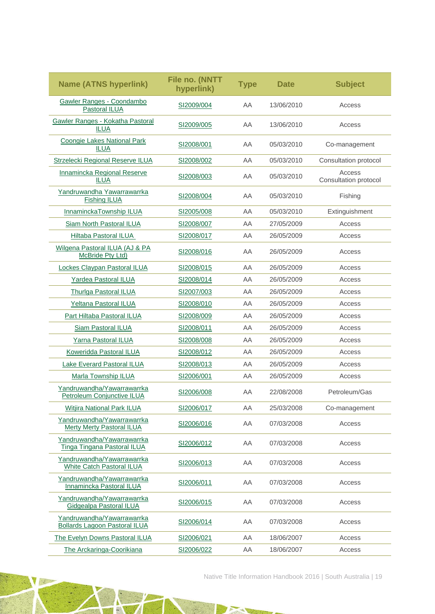| <b>Name (ATNS hyperlink)</b>                                       | File no. (NNTT<br>hyperlink) | <b>Type</b> | <b>Date</b> | <b>Subject</b>                  |
|--------------------------------------------------------------------|------------------------------|-------------|-------------|---------------------------------|
| Gawler Ranges - Coondambo<br>Pastoral ILUA                         | SI2009/004                   | AA          | 13/06/2010  | Access                          |
| Gawler Ranges - Kokatha Pastoral<br><b>ILUA</b>                    | SI2009/005                   | AA          | 13/06/2010  | Access                          |
| <b>Coongie Lakes National Park</b><br><b>ILUA</b>                  | SI2008/001                   | AA          | 05/03/2010  | Co-management                   |
| Strzelecki Regional Reserve ILUA                                   | SI2008/002                   | AA          | 05/03/2010  | Consultation protocol           |
| Innamincka Regional Reserve<br><b>ILUA</b>                         | SI2008/003                   | AA          | 05/03/2010  | Access<br>Consultation protocol |
| Yandruwandha Yawarrawarrka<br><b>Fishing ILUA</b>                  | SI2008/004                   | AA          | 05/03/2010  | Fishing                         |
| InnaminckaTownship ILUA                                            | SI2005/008                   | AA          | 05/03/2010  | Extinguishment                  |
| Siam North Pastoral ILUA                                           | SI2008/007                   | AA          | 27/05/2009  | Access                          |
| Hiltaba Pastoral ILUA                                              | SI2008/017                   | AA          | 26/05/2009  | Access                          |
| Wilgena Pastoral ILUA (AJ & PA<br>McBride Pty Ltd)                 | SI2008/016                   | AA          | 26/05/2009  | Access                          |
| Lockes Claypan Pastoral ILUA                                       | SI2008/015                   | AA          | 26/05/2009  | Access                          |
| Yardea Pastoral ILUA                                               | SI2008/014                   | AA          | 26/05/2009  | Access                          |
| <b>Thurlga Pastoral ILUA</b>                                       | SI2007/003                   | AA          | 26/05/2009  | Access                          |
| Yeltana Pastoral ILUA                                              | SI2008/010                   | AA          | 26/05/2009  | Access                          |
| Part Hiltaba Pastoral ILUA                                         | SI2008/009                   | AA          | 26/05/2009  | Access                          |
| <b>Siam Pastoral ILUA</b>                                          | SI2008/011                   | AA          | 26/05/2009  | Access                          |
| Yarna Pastoral ILUA                                                | SI2008/008                   | AA          | 26/05/2009  | Access                          |
| Koweridda Pastoral ILUA                                            | SI2008/012                   | AA          | 26/05/2009  | Access                          |
| Lake Everard Pastoral ILUA                                         | SI2008/013                   | AA          | 26/05/2009  | Access                          |
| Marla Township ILUA                                                | SI2006/001                   | AA          | 26/05/2009  | Access                          |
| Yandruwandha/Yawarrawarrka<br>Petroleum Conjunctive ILUA           | SI2006/008                   | AA          | 22/08/2008  | Petroleum/Gas                   |
| Witjira National Park ILUA                                         | SI2006/017                   | AA          | 25/03/2008  | Co-management                   |
| Yandruwandha/Yawarrawarrka<br>Merty Merty Pastoral ILUA            | SI2006/016                   | ΑA          | 07/03/2008  | Access                          |
| Yandruwandha/Yawarrawarrka<br>Tinga Tingana Pastoral ILUA          | SI2006/012                   | AA          | 07/03/2008  | Access                          |
| Yandruwandha/Yawarrawarrka<br><b>White Catch Pastoral ILUA</b>     | SI2006/013                   | AA          | 07/03/2008  | Access                          |
| Yandruwandha/Yawarrawarrka<br>Innamincka Pastoral ILUA             | SI2006/011                   | AA          | 07/03/2008  | Access                          |
| Yandruwandha/Yawarrawarrka<br>Gidgealpa Pastoral ILUA              | SI2006/015                   | AA          | 07/03/2008  | Access                          |
| Yandruwandha/Yawarrawarrka<br><b>Bollards Lagoon Pastoral ILUA</b> | SI2006/014                   | AA          | 07/03/2008  | Access                          |
| The Evelyn Downs Pastoral ILUA                                     | SI2006/021                   | AA          | 18/06/2007  | Access                          |
| The Arckaringa-Coorikiana                                          | SI2006/022                   | AA          | 18/06/2007  | Access                          |

A

7

**NE** 

Native Title Information Handbook 2016 | South Australia | 19

P.A

a g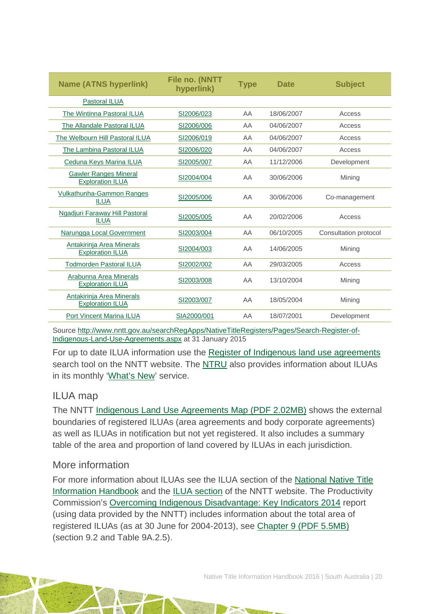| <b>Name (ATNS hyperlink)</b>                            | File no. (NNTT<br>hyperlink) | <b>Type</b> | <b>Date</b> | <b>Subject</b>        |
|---------------------------------------------------------|------------------------------|-------------|-------------|-----------------------|
| Pastoral ILUA                                           |                              |             |             |                       |
| The Wintinna Pastoral ILUA                              | SI2006/023                   | AA          | 18/06/2007  | Access                |
| The Allandale Pastoral ILUA                             | SI2006/006                   | AA          | 04/06/2007  | Access                |
| The Welbourn Hill Pastoral ILUA                         | SI2006/019                   | AA          | 04/06/2007  | Access                |
| The Lambina Pastoral ILUA                               | SI2006/020                   | AA          | 04/06/2007  | Access                |
| Ceduna Keys Marina ILUA                                 | SI2005/007                   | AA          | 11/12/2006  | Development           |
| <b>Gawler Ranges Mineral</b><br><b>Exploration ILUA</b> | SI2004/004                   | AA          | 30/06/2006  | Mining                |
| <b>Vulkathunha-Gammon Ranges</b><br><b>ILUA</b>         | SI2005/006                   | AA          | 30/06/2006  | Co-management         |
| Ngadjuri Faraway Hill Pastoral<br><b>ILUA</b>           | SI2005/005                   | AA          | 20/02/2006  | Access                |
| Narungga Local Government                               | SI2003/004                   | AA          | 06/10/2005  | Consultation protocol |
| Antakirinja Area Minerals<br><b>Exploration ILUA</b>    | SI2004/003                   | AA          | 14/06/2005  | Mining                |
| <b>Todmorden Pastoral ILUA</b>                          | SI2002/002                   | AA          | 29/03/2005  | Access                |
| Arabunna Area Minerals<br><b>Exploration ILUA</b>       | SI2003/008                   | AA          | 13/10/2004  | Mining                |
| Antakirinja Area Minerals<br><b>Exploration ILUA</b>    | SI2003/007                   | AA          | 18/05/2004  | Mining                |
| <b>Port Vincent Marina ILUA</b>                         | SIA2000/001                  | AA          | 18/07/2001  | Development           |

Source [http://www.nntt.gov.au/searchRegApps/NativeTitleRegisters/Pages/Search-Register-of-](http://www.nntt.gov.au/searchRegApps/NativeTitleRegisters/Pages/Search-Register-of-Indigenous-Land-Use-Agreements.aspx)[Indigenous-Land-Use-Agreements.aspx](http://www.nntt.gov.au/searchRegApps/NativeTitleRegisters/Pages/Search-Register-of-Indigenous-Land-Use-Agreements.aspx) at 31 January 2015

For up to date ILUA information use the [Register of Indigenous land use agreements](http://www.nntt.gov.au/searchRegApps/NativeTitleRegisters/Pages/Search-Register-of-Indigenous-Land-Use-Agreements.aspx) search tool on the NNTT website. The [NTRU](http://aiatsis.gov.au/research/research-themes/native-title) also provides information about ILUAs in its monthly ['What's New'](http://aiatsis.gov.au/research/research-themes/native-title/publications/whats-new) service.

### ILUA map

The NNTT [Indigenous Land Use Agreements Map \(PDF 2.02MB\)](http://www.nntt.gov.au/Maps/ILUAs_map.pdf) shows the external boundaries of registered ILUAs (area agreements and body corporate agreements) as well as ILUAs in notification but not yet registered. It also includes a summary table of the area and proportion of land covered by ILUAs in each jurisdiction.

### More information

For more information about ILUAs see the ILUA section of the [National Native Title](http://aiatsis.gov.au/publications/products/native-title-information-handbooks)  [Information Handbook](http://aiatsis.gov.au/publications/products/native-title-information-handbooks) and the [ILUA section](http://www.nntt.gov.au/ILUAs/Pages/default.aspx) of the NNTT website. The Productivity Commission's [Overcoming Indigenous Disadvantage: Key Indicators 2014](http://www.pc.gov.au/research/recurring/overcoming-indigenous-disadvantage/key-indicators-2014) report (using data provided by the NNTT) includes information about the total area of registered ILUAs (as at 30 June for 2004-2013), see [Chapter 9 \(PDF](http://www.pc.gov.au/research/recurring/overcoming-indigenous-disadvantage/key-indicators-2014/09-key-indicators-2014-chapter9.pdf) 5.5MB) (section 9.2 and Table 9A.2.5).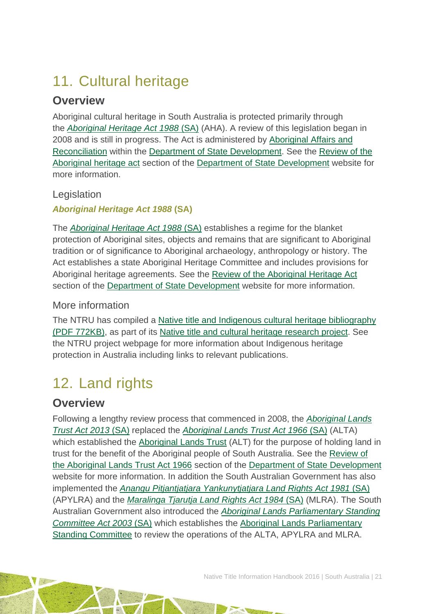# <span id="page-21-0"></span>11. Cultural heritage

## **Overview**

Aboriginal cultural heritage in South Australia is protected primarily through the *[Aboriginal Heritage Act 1988](http://www3.austlii.edu.au/au/legis/sa/consol_act/aha1988164/)* (SA) (AHA). A review of this legislation began in 2008 and is still in progress. The Act is administered by [Aboriginal Affairs and](http://www.statedevelopment.sa.gov.au/aboriginal-affairs/aboriginal-affairs-and-reconciliation)  [Reconciliation](http://www.statedevelopment.sa.gov.au/aboriginal-affairs/aboriginal-affairs-and-reconciliation) within the [Department of State Development.](http://www.statedevelopment.sa.gov.au/) See the [Review of the](http://www.statedevelopment.sa.gov.au/aboriginal-affairs/aboriginal-affairs-and-reconciliation/current-initiatives/aboriginal-heritage-act-1988)  [Aboriginal heritage act](http://www.statedevelopment.sa.gov.au/aboriginal-affairs/aboriginal-affairs-and-reconciliation/current-initiatives/aboriginal-heritage-act-1988) section of the [Department of State Development](http://www.statedevelopment.sa.gov.au/) website for more information.

### Legislation

*Aboriginal Heritage Act 1988* **(SA)**

The *[Aboriginal Heritage Act 1988](http://www3.austlii.edu.au/au/legis/sa/consol_act/aha1988164/)* (SA) establishes a regime for the blanket protection of Aboriginal sites, objects and remains that are significant to Aboriginal tradition or of significance to Aboriginal archaeology, anthropology or history. The Act establishes a state Aboriginal Heritage Committee and includes provisions for Aboriginal heritage agreements. See the [Review of the Aboriginal Heritage Act](http://www.statedevelopment.sa.gov.au/aboriginal-affairs/aboriginal-affairs-and-reconciliation/current-initiatives/aboriginal-heritage-act-1988) section of the [Department of State Development](http://www.statedevelopment.sa.gov.au/) website for more information.

### More information

The NTRU has compiled a [Native title and Indigenous cultural heritage bibliography](http://aiatsis.gov.au/publications/products/native-title-and-indigenous-cultural-heritage-management-bibliography)  [\(PDF 772KB\),](http://aiatsis.gov.au/publications/products/native-title-and-indigenous-cultural-heritage-management-bibliography) as part of its [Native title and cultural heritage research project.](http://aiatsis.gov.au/research-and-guides/native-title-and-cultural-heritage) See the NTRU project webpage for more information about Indigenous heritage protection in Australia including links to relevant publications.

# <span id="page-21-1"></span>12. Land rights

## **Overview**

Following a lengthy review process that commenced in 2008, the *[Aboriginal Lands](http://www5.austlii.edu.au/au/legis/sa/consol_act/alta2013237/)  [Trust Act 2013](http://www5.austlii.edu.au/au/legis/sa/consol_act/alta2013237/)* (SA) replaced the *[Aboriginal Lands Trust Act 1966](http://www.atns.net.au/agreement.asp?EntityID=1627)* (SA) (ALTA) which established the [Aboriginal Lands Trust](http://www.alt.sa.gov.au/) (ALT) for the purpose of holding land in trust for the benefit of the Aboriginal people of South Australia. See the [Review of](http://www.statedevelopment.sa.gov.au/aboriginal-affairs/aboriginal-affairs-and-reconciliation/current-initiatives/review-of-the-aboriginal-lands-trust-act-1966)  [the Aboriginal Lands Trust Act 1966](http://www.statedevelopment.sa.gov.au/aboriginal-affairs/aboriginal-affairs-and-reconciliation/current-initiatives/review-of-the-aboriginal-lands-trust-act-1966) section of the [Department of State Development](http://www.statedevelopment.sa.gov.au/) website for more information. In addition the South Australian Government has also implemented the *[Anangu Pitjantjatjara Yankunytjatjara Land Rights Act 1981](http://www.austlii.edu.au/au/legis/sa/consol_act/apylra1981489/)* (SA) (APYLRA) and the *[Maralinga Tjarutja Land Rights Act 1984](http://www.austlii.edu.au/au/legis/sa/consol_act/mtlra1984283/)* (SA) (MLRA). The South Australian Government also introduced the *[Aboriginal Lands Parliamentary Standing](http://www.austlii.edu.au/au/legis/sa/consol_act/alpsca2003458/)  [Committee Act 2003](http://www.austlii.edu.au/au/legis/sa/consol_act/alpsca2003458/)* (SA) which establishes the [Aboriginal Lands Parliamentary](https://www.parliament.sa.gov.au/Committees/Pages/Committees.aspx?CTId=5&CId=305)  [Standing Committee](https://www.parliament.sa.gov.au/Committees/Pages/Committees.aspx?CTId=5&CId=305) to review the operations of the ALTA, APYLRA and MLRA.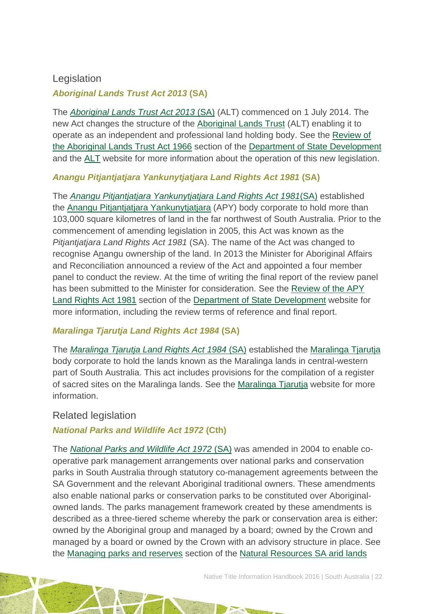### Legislation

### *Aboriginal Lands Trust Act 2013* **(SA)**

The *[Aboriginal Lands Trust Act 2013](http://www5.austlii.edu.au/au/legis/sa/consol_act/alta2013237/)* (SA) (ALT) commenced on 1 July 2014. The new Act changes the structure of the [Aboriginal Lands Trust](http://www.alt.sa.gov.au/) (ALT) enabling it to operate as an independent and professional land holding body. See the [Review of](http://www.statedevelopment.sa.gov.au/aboriginal-affairs/aboriginal-affairs-and-reconciliation/current-initiatives/review-of-the-aboriginal-lands-trust-act-1966)  [the Aboriginal Lands Trust Act 1966](http://www.statedevelopment.sa.gov.au/aboriginal-affairs/aboriginal-affairs-and-reconciliation/current-initiatives/review-of-the-aboriginal-lands-trust-act-1966) section of the [Department of State Development](http://www.statedevelopment.sa.gov.au/) and the [ALT](http://www.alt.sa.gov.au/) website for more information about the operation of this new legislation.

### *Anangu Pitjantjatjara Yankunytjatjara Land Rights Act 1981* **(SA)**

The *[Anangu Pitjantjatjara Yankunytjatjara Land Rights Act 1981](http://www.austlii.edu.au/au/legis/sa/consol_act/apylra1981489/)*(SA) established the [Anangu Pitjantjatjara Yankunytjatjara](http://www.anangu.com.au/) (APY) body corporate to hold more than 103,000 square kilometres of land in the far northwest of South Australia. Prior to the commencement of amending legislation in 2005, this Act was known as the *Pitjantjatjara Land Rights Act 1981* (SA). The name of the Act was changed to recognise Anangu ownership of the land. In 2013 the Minister for Aboriginal Affairs and Reconciliation announced a review of the Act and appointed a four member panel to conduct the review. At the time of writing the final report of the review panel has been submitted to the Minister for consideration. See the [Review of the APY](http://www.statedevelopment.sa.gov.au/aboriginal-affairs/aboriginal-affairs-and-reconciliation/current-initiatives/review-of-the-apy-land-rights-act-1981)  [Land Rights Act 1981](http://www.statedevelopment.sa.gov.au/aboriginal-affairs/aboriginal-affairs-and-reconciliation/current-initiatives/review-of-the-apy-land-rights-act-1981) section of the [Department of State Development](http://www.statedevelopment.sa.gov.au/) website for more information, including the review terms of reference and final report.

### *Maralinga Tjarutja Land Rights Act 1984* **(SA)**

The *[Maralinga Tjarutja Land Rights Act 1984](http://www.austlii.edu.au/au/legis/sa/consol_act/mtlra1984283/)* (SA) established the [Maralinga Tjarutja](http://maralingatjarutja.com/) body corporate to hold the lands known as the Maralinga lands in central-western part of South Australia. This act includes provisions for the compilation of a register of sacred sites on the Maralinga lands. See the [Maralinga Tjarutja](http://maralingatjarutja.com/) website for more information.

### Related legislation

### *National Parks and Wildlife Act 1972* **(Cth)**

The *[National Parks and Wildlife Act 1972](http://www5.austlii.edu.au/au/legis/sa/consol_act/npawa1972247/)* (SA) was amended in 2004 to enable cooperative park management arrangements over national parks and conservation parks in South Australia through statutory co-management agreements between the SA Government and the relevant Aboriginal traditional owners. These amendments also enable national parks or conservation parks to be constituted over Aboriginalowned lands. The parks management framework created by these amendments is described as a three-tiered scheme whereby the park or conservation area is either: owned by the Aboriginal group and managed by a board; owned by the Crown and managed by a board or owned by the Crown with an advisory structure in place. See the [Managing parks and reserves](http://www.naturalresources.sa.gov.au/aridlands/parks/managing-parks-and-reserves) section of the [Natural Resources SA arid lands](http://www.naturalresources.sa.gov.au/aridlands/home)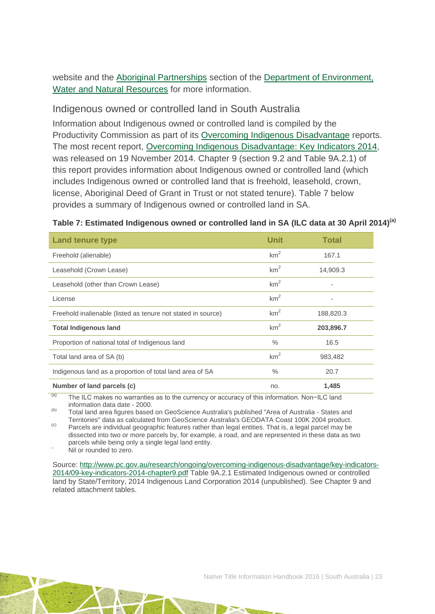website and the [Aboriginal Partnerships](http://www.environment.sa.gov.au/managing-natural-resources/Park_management/Aboriginal_partnerships/Aboriginal_Partnerships_Unit) section of the Department of Environment. [Water and Natural Resources](http://www.environment.sa.gov.au/Home) for more information.

### Indigenous owned or controlled land in South Australia

Information about Indigenous owned or controlled land is compiled by the Productivity Commission as part of its [Overcoming Indigenous Disadvantage](http://www.pc.gov.au/research/recurring/overcoming-indigenous-disadvantage) reports. The most recent report, [Overcoming Indigenous Disadvantage: Key Indicators 2014,](http://www.pc.gov.au/research/recurring/overcoming-indigenous-disadvantage/key-indicators-2014) was released on 19 November 2014. Chapter 9 (section 9.2 and Table 9A.2.1) of this report provides information about Indigenous owned or controlled land (which includes Indigenous owned or controlled land that is freehold, leasehold, crown, license, Aboriginal Deed of Grant in Trust or not stated tenure). Table 7 below provides a summary of Indigenous owned or controlled land in SA.

| <b>Land tenure type</b>                                      | Unit            | <b>Total</b> |
|--------------------------------------------------------------|-----------------|--------------|
| Freehold (alienable)                                         | km <sup>2</sup> | 167.1        |
| Leasehold (Crown Lease)                                      | km <sup>2</sup> | 14,909.3     |
| Leasehold (other than Crown Lease)                           | km <sup>2</sup> |              |
| License                                                      | km <sup>2</sup> |              |
| Freehold inalienable (listed as tenure not stated in source) | km <sup>2</sup> | 188,820.3    |
| <b>Total Indigenous land</b>                                 | km <sup>2</sup> | 203,896.7    |
| Proportion of national total of Indigenous land              | $\frac{0}{0}$   | 16.5         |
| Total land area of SA (b)                                    | km <sup>2</sup> | 983,482      |
| Indigenous land as a proportion of total land area of SA     | $\%$            | 20.7         |
| Number of land parcels (c)                                   | no.             | 1,485        |

#### **Table 7: Estimated Indigenous owned or controlled land in SA (ILC data at 30 April 2014)(a)**

The ILC makes no warranties as to the currency or accuracy of this information. Non−ILC land information data date - 2000.

(b) Total land area figures based on GeoScience Australia's published "Area of Australia - States and<br>Territories" data as calculated from GeoScience Australia's GEODATA Coast 100K 2004 product.

 $\sigma$  Parcels are individual geographic features rather than legal entities. That is, a legal parcel may be dissected into two or more parcels by, for example, a road, and are represented in these data as two parcels while being only a single legal land entity.<br>Nil or rounded to zero.

Source: [http://www.pc.gov.au/research/ongoing/overcoming-indigenous-disadvantage/key-indicators-](http://www.pc.gov.au/research/ongoing/overcoming-indigenous-disadvantage/key-indicators-2014/09-key-indicators-2014-chapter9.pdf)[2014/09-key-indicators-2014-chapter9.pdf](http://www.pc.gov.au/research/ongoing/overcoming-indigenous-disadvantage/key-indicators-2014/09-key-indicators-2014-chapter9.pdf) Table 9A.2.1 Estimated Indigenous owned or controlled land by State/Territory, 2014 Indigenous Land Corporation 2014 (unpublished). See Chapter 9 and related attachment tables.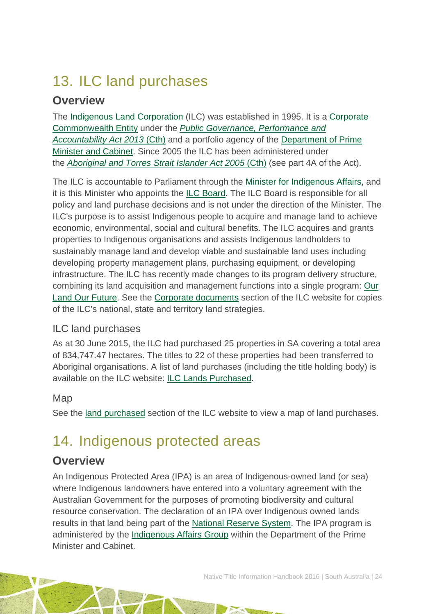# <span id="page-24-0"></span>13. ILC land purchases

## **Overview**

The [Indigenous Land Corporation](http://www.ilc.gov.au/Home) (ILC) was established in 1995. It is a [Corporate](http://www.finance.gov.au/resource-management/introduction/glossary/#c)  [Commonwealth Entity](http://www.finance.gov.au/resource-management/introduction/glossary/#c) under the *[Public Governance, Performance and](http://www.austlii.edu.au/au/legis/cth/consol_act/pgpaaa2013432/)  [Accountability Act 2013](http://www.austlii.edu.au/au/legis/cth/consol_act/pgpaaa2013432/)* (Cth) and a portfolio agency of the [Department of Prime](https://www.dpmc.gov.au/)  [Minister and Cabinet.](https://www.dpmc.gov.au/) Since 2005 the ILC has been administered under the *[Aboriginal and Torres Strait Islander Act 2005](http://www.austlii.edu.au/au/legis/cth/consol_act/aatsia2005359/)* (Cth) (see part 4A of the Act).

The ILC is accountable to Parliament through the [Minister for Indigenous Affairs,](http://minister.indigenous.gov.au/) and it is this Minister who appoints the [ILC Board.](http://www.ilc.gov.au/Home/About-Us/ILC-Board) The ILC Board is responsible for all policy and land purchase decisions and is not under the direction of the Minister. The ILC's purpose is to assist Indigenous people to acquire and manage land to achieve economic, environmental, social and cultural benefits. The ILC acquires and grants properties to Indigenous organisations and assists Indigenous landholders to sustainably manage land and develop viable and sustainable land uses including developing property management plans, purchasing equipment, or developing infrastructure. The ILC has recently made changes to its program delivery structure, combining its land acquisition and management functions into a single program: [Our](http://www.ilc.gov.au/Home/Our-Land-Program)  [Land Our Future.](http://www.ilc.gov.au/Home/Our-Land-Program) See the [Corporate documents](http://www.ilc.gov.au/Home/Publications/Corporate-Documents) section of the ILC website for copies of the ILC's national, state and territory land strategies.

### ILC land purchases

As at 30 June 2015, the ILC had purchased 25 properties in SA covering a total area of 834,747.47 hectares. The titles to 22 of these properties had been transferred to Aboriginal organisations. A list of land purchases (including the title holding body) is available on the ILC website: ILC Lands [Purchased.](http://www.ilc.gov.au/Home/Land-Purchased/Land-Purchased-All-States)

### Map

See the [land purchased](http://www.ilc.gov.au/Home/Land-Purchased) section of the ILC website to view a map of land purchases.

## <span id="page-24-1"></span>14. Indigenous protected areas

## **Overview**

An Indigenous Protected Area (IPA) is an area of Indigenous-owned land (or sea) where Indigenous landowners have entered into a voluntary agreement with the Australian Government for the purposes of promoting biodiversity and cultural resource conservation. The declaration of an IPA over Indigenous owned lands results in that land being part of the [National Reserve System.](http://www.environment.gov.au/land/nrs) The IPA program is administered by the [Indigenous Affairs Group](https://www.dpmc.gov.au/indigenous-affairs) within the Department of the Prime Minister and Cabinet.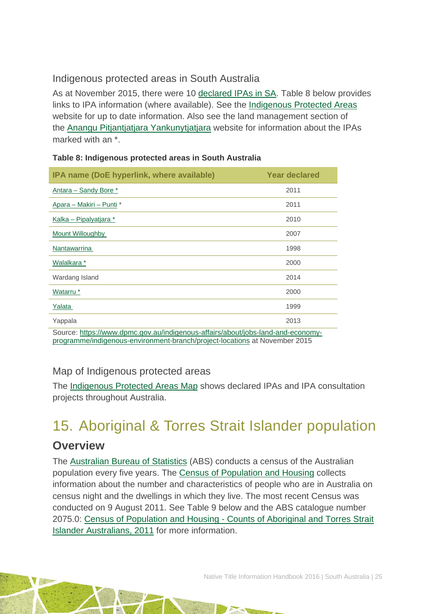### Indigenous protected areas in South Australia

As at November 2015, there were 10 [declared IPAs in SA.](http://www.environment.gov.au/indigenous/ipa/declared/sa.html) Table 8 below provides links to IPA information (where available). See the [Indigenous Protected Areas](http://www.environment.gov.au/indigenous/ipa/) website for up to date information. Also see the land management section of the [Anangu Pitjantjatjara Yankunytjatjara](http://www.anangu.com.au/) website for information about the IPAs marked with an \*.

| IPA name (DoE hyperlink, where available)                                       | Year declared |
|---------------------------------------------------------------------------------|---------------|
| Antara - Sandy Bore *                                                           | 2011          |
| Apara - Makiri - Punti *                                                        | 2011          |
| Kalka – Pipalyatjara *                                                          | 2010          |
| Mount Willoughby                                                                | 2007          |
| <b>Nantawarrina</b>                                                             | 1998          |
| Walalkara *                                                                     | 2000          |
| Wardang Island                                                                  | 2014          |
| Watarru *                                                                       | 2000          |
| Yalata                                                                          | 1999          |
| Yappala                                                                         | 2013          |
| Source: https://www.dpmc.gov.au/indigenous-affairs/about/jobs-land-and-economy- |               |

|  | Table 8: Indigenous protected areas in South Australia |  |  |  |  |  |
|--|--------------------------------------------------------|--|--|--|--|--|
|--|--------------------------------------------------------|--|--|--|--|--|

Source: [https://www.dpmc.gov.au/indigenous-affairs/about/jobs-land-and-economy](https://www.dpmc.gov.au/indigenous-affairs/about/jobs-land-and-economy-programme/indigenous-environment-branch/project-locations%20at%20November%202015)[programme/indigenous-environment-branch/project-locations](https://www.dpmc.gov.au/indigenous-affairs/about/jobs-land-and-economy-programme/indigenous-environment-branch/project-locations%20at%20November%202015) at November 2015

### Map of Indigenous protected areas

The [Indigenous Protected Areas Map](https://www.dpmc.gov.au/indigenous-affairs/about/jobs-land-and-economy-programme/indigenous-environment-branch/project-locations) shows declared IPAs and IPA consultation projects throughout Australia.

# <span id="page-25-0"></span>15. Aboriginal & Torres Strait Islander population

### **Overview**

The [Australian Bureau of Statistics](http://www.abs.gov.au/) (ABS) conducts a census of the Australian population every five years. The [Census of Population and Housing](http://www.abs.gov.au/websitedbs/censushome.nsf/home/what?opendocument&navpos=110) collects information about the number and characteristics of people who are in Australia on census night and the dwellings in which they live. The most recent Census was conducted on 9 August 2011. See Table 9 below and the ABS catalogue number 2075.0: Census of Population and Housing - [Counts of Aboriginal and Torres Strait](http://www.abs.gov.au/ausstats/abs@.nsf/Lookup/2075.0main+features32011)  [Islander Australians, 2011](http://www.abs.gov.au/ausstats/abs@.nsf/Lookup/2075.0main+features32011) for more information.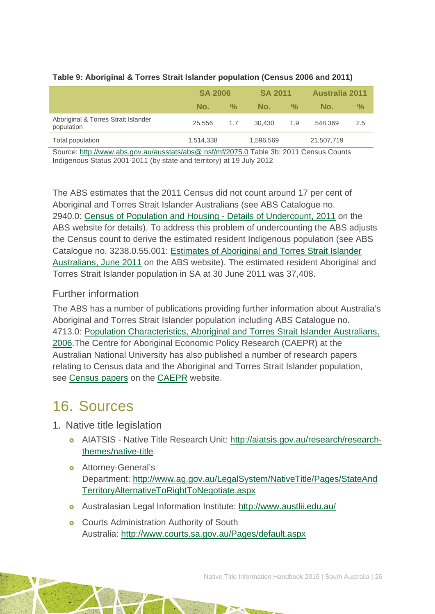|                                                   | <b>SA 2006</b> |               | <b>SA 2011</b> |                    | <b>Australia 2011</b> |               |
|---------------------------------------------------|----------------|---------------|----------------|--------------------|-----------------------|---------------|
|                                                   | No.            | $\frac{0}{2}$ | No.            | $\frac{0}{\alpha}$ | No.                   | $\frac{9}{6}$ |
| Aboriginal & Torres Strait Islander<br>population | 25.556         | 1.7           | 30.430         | 1.9                | 548,369               | 2.5           |
| Total population                                  | 1,514,338      |               | 1,596,569      |                    | 21,507,719            |               |
|                                                   |                |               |                |                    |                       |               |

#### **Table 9: Aboriginal & Torres Strait Islander population (Census 2006 and 2011)**

Source:<http://www.abs.gov.au/ausstats/abs@.nsf/mf/2075.0> Table 3b: 2011 Census Counts Indigenous Status 2001-2011 (by state and territory) at 19 July 2012

The ABS estimates that the 2011 Census did not count around 17 per cent of Aboriginal and Torres Strait Islander Australians (see ABS Catalogue no. 2940.0: [Census of Population and Housing -](http://www.abs.gov.au/ausstats/abs@.nsf/%20mf/2940.0) Details of Undercount, 2011 on the ABS website for details). To address this problem of undercounting the ABS adjusts the Census count to derive the estimated resident Indigenous population (see ABS Catalogue no. 3238.0.55.001: [Estimates of Aboriginal and Torres Strait Islander](http://www.abs.gov.au/AUSSTATS/abs@.nsf/Lookup/3238.0.55.001Main+Features1June%202011?OpenDocument)  [Australians, June 2011](http://www.abs.gov.au/AUSSTATS/abs@.nsf/Lookup/3238.0.55.001Main+Features1June%202011?OpenDocument) on the ABS website). The estimated resident Aboriginal and Torres Strait Islander population in SA at 30 June 2011 was 37,408.

### Further information

The ABS has a number of publications providing further information about Australia's Aboriginal and Torres Strait Islander population including ABS Catalogue no. 4713.0: [Population Characteristics, Aboriginal and Torres Strait Islander Australians,](http://www.abs.gov.au/AUSSTATS/abs@.nsf/Lookup/4713.0Main+Features12006?OpenDocument)  [2006.](http://www.abs.gov.au/AUSSTATS/abs@.nsf/Lookup/4713.0Main+Features12006?OpenDocument)The Centre for Aboriginal Economic Policy Research (CAEPR) at the Australian National University has also published a number of research papers relating to Census data and the Aboriginal and Torres Strait Islander population, see [Census papers](http://caepr.anu.edu.au/publications/censuspapers.php) on the [CAEPR](http://caepr.anu.edu.au/) website.

## <span id="page-26-0"></span>16. Sources

- 1. Native title legislation
	- AIATSIS Native Title Research Unit: [http://aiatsis.gov.au/research/research](http://aiatsis.gov.au/research/research-themes/native-title)[themes/native-title](http://aiatsis.gov.au/research/research-themes/native-title)
	- **o** Attorney-General's Department: [http://www.ag.gov.au/LegalSystem/NativeTitle/Pages/StateAnd](http://www.ag.gov.au/LegalSystem/NativeTitle/Pages/StateAndTerritoryAlternativeToRightToNegotiate.aspx) [TerritoryAlternativeToRightToNegotiate.aspx](http://www.ag.gov.au/LegalSystem/NativeTitle/Pages/StateAndTerritoryAlternativeToRightToNegotiate.aspx)
	- Australasian Legal Information Institute:<http://www.austlii.edu.au/>
	- **o** Courts Administration Authority of South Australia:<http://www.courts.sa.gov.au/Pages/default.aspx>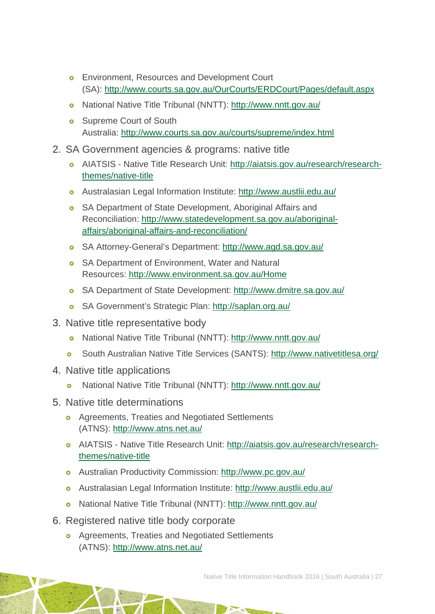- **o** Environment, Resources and Development Court (SA):<http://www.courts.sa.gov.au/OurCourts/ERDCourt/Pages/default.aspx>
- o National Native Title Tribunal (NNTT):<http://www.nntt.gov.au/>
- **o** Supreme Court of South Australia:<http://www.courts.sa.gov.au/courts/supreme/index.html>
- 2. SA Government agencies & programs: native title
	- AIATSIS Native Title Research Unit: [http://aiatsis.gov.au/research/research](http://aiatsis.gov.au/research/research-themes/native-title)[themes/native-title](http://aiatsis.gov.au/research/research-themes/native-title)
	- Australasian Legal Information Institute:<http://www.austlii.edu.au/>
	- **o** SA Department of State Development, Aboriginal Affairs and Reconciliation: [http://www.statedevelopment.sa.gov.au/aboriginal](http://www.statedevelopment.sa.gov.au/aboriginal-affairs/aboriginal-affairs-and-reconciliation/)[affairs/aboriginal-affairs-and-reconciliation/](http://www.statedevelopment.sa.gov.au/aboriginal-affairs/aboriginal-affairs-and-reconciliation/)
	- SA Attorney-General's Department:<http://www.agd.sa.gov.au/>
	- **o** SA Department of Environment, Water and Natural Resources:<http://www.environment.sa.gov.au/Home>
	- SA Department of State Development:<http://www.dmitre.sa.gov.au/>
	- SA Government's Strategic Plan:<http://saplan.org.au/>
- 3. Native title representative body
	- National Native Title Tribunal (NNTT):<http://www.nntt.gov.au/>
	- [South Australian Native Title Services \(SANTS\): http://www.nativetitlesa.org/](http://www.nativetitlesa.org/)
- 4. Native title applications
	- National Native Title Tribunal (NNTT):<http://www.nntt.gov.au/>
- 5. Native title determinations
	- **o** Agreements, Treaties and Negotiated Settlements (ATNS):<http://www.atns.net.au/>
	- AIATSIS Native Title Research Unit: [http://aiatsis.gov.au/research/research](http://aiatsis.gov.au/research/research-themes/native-title)[themes/native-title](http://aiatsis.gov.au/research/research-themes/native-title)
	- Australian Productivity Commission:<http://www.pc.gov.au/>
	- Australasian Legal Information Institute:<http://www.austlii.edu.au/>
	- National Native Title Tribunal (NNTT):<http://www.nntt.gov.au/>
- 6. Registered native title body corporate
	- **o** Agreements, Treaties and Negotiated Settlements (ATNS):<http://www.atns.net.au/>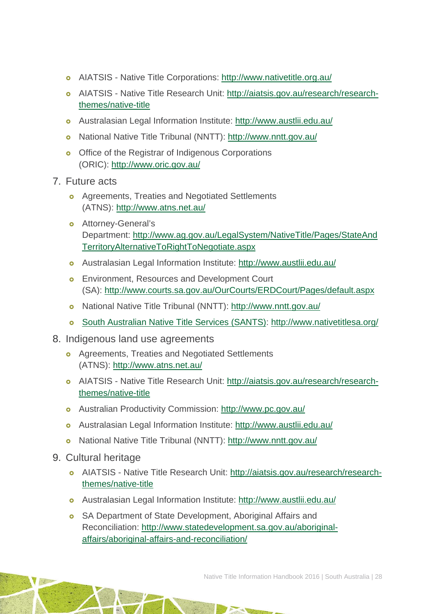- AIATSIS Native Title Corporations:<http://www.nativetitle.org.au/>
- AIATSIS Native Title Research Unit: [http://aiatsis.gov.au/research/research](http://aiatsis.gov.au/research/research-themes/native-title)[themes/native-title](http://aiatsis.gov.au/research/research-themes/native-title)
- Australasian Legal Information Institute:<http://www.austlii.edu.au/>
- National Native Title Tribunal (NNTT):<http://www.nntt.gov.au/>
- o Office of the Registrar of Indigenous Corporations (ORIC):<http://www.oric.gov.au/>
- 7. Future acts
	- **o** Agreements, Treaties and Negotiated Settlements (ATNS):<http://www.atns.net.au/>
	- **o** Attorney-General's Department: [http://www.ag.gov.au/LegalSystem/NativeTitle/Pages/StateAnd](http://www.ag.gov.au/LegalSystem/NativeTitle/Pages/StateAndTerritoryAlternativeToRightToNegotiate.aspx) [TerritoryAlternativeToRightToNegotiate.aspx](http://www.ag.gov.au/LegalSystem/NativeTitle/Pages/StateAndTerritoryAlternativeToRightToNegotiate.aspx)
	- Australasian Legal Information Institute:<http://www.austlii.edu.au/>
	- **o** Environment, Resources and Development Court (SA):<http://www.courts.sa.gov.au/OurCourts/ERDCourt/Pages/default.aspx>
	- o National Native Title Tribunal (NNTT):<http://www.nntt.gov.au/>
	- [South Australian Native Title Services \(SANTS\): http://www.nativetitlesa.org/](http://www.nativetitlesa.org/)
- 8. Indigenous land use agreements
	- **o** Agreements, Treaties and Negotiated Settlements (ATNS):<http://www.atns.net.au/>
	- AIATSIS Native Title Research Unit: [http://aiatsis.gov.au/research/research](http://aiatsis.gov.au/research/research-themes/native-title)[themes/native-title](http://aiatsis.gov.au/research/research-themes/native-title)
	- Australian Productivity Commission:<http://www.pc.gov.au/>
	- Australasian Legal Information Institute:<http://www.austlii.edu.au/>
	- National Native Title Tribunal (NNTT):<http://www.nntt.gov.au/>
- 9. Cultural heritage
	- AIATSIS Native Title Research Unit: [http://aiatsis.gov.au/research/research](http://aiatsis.gov.au/research/research-themes/native-title)[themes/native-title](http://aiatsis.gov.au/research/research-themes/native-title)
	- Australasian Legal Information Institute:<http://www.austlii.edu.au/>
	- **o** SA Department of State Development, Aboriginal Affairs and Reconciliation: [http://www.statedevelopment.sa.gov.au/aboriginal](http://www.statedevelopment.sa.gov.au/aboriginal-affairs/aboriginal-affairs-and-reconciliation/)[affairs/aboriginal-affairs-and-reconciliation/](http://www.statedevelopment.sa.gov.au/aboriginal-affairs/aboriginal-affairs-and-reconciliation/)